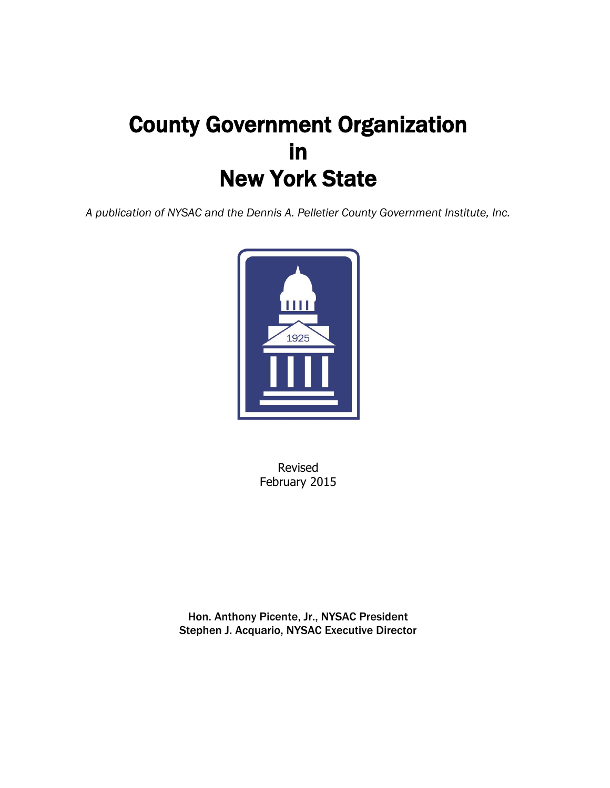# County Government Organization in New York State

*A publication of NYSAC and the Dennis A. Pelletier County Government Institute, Inc.*



Revised February 2015

Hon. Anthony Picente, Jr., NYSAC President Stephen J. Acquario, NYSAC Executive Director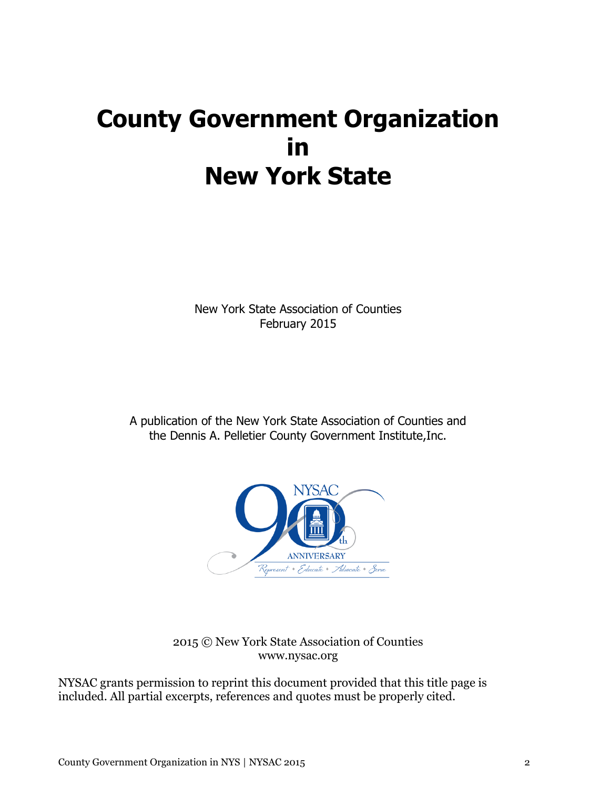# **County Government Organization in New York State**

New York State Association of Counties February 2015

A publication of the New York State Association of Counties and the Dennis A. Pelletier County Government Institute,Inc.



2015 © New York State Association of Counties www.nysac.org

NYSAC grants permission to reprint this document provided that this title page is included. All partial excerpts, references and quotes must be properly cited.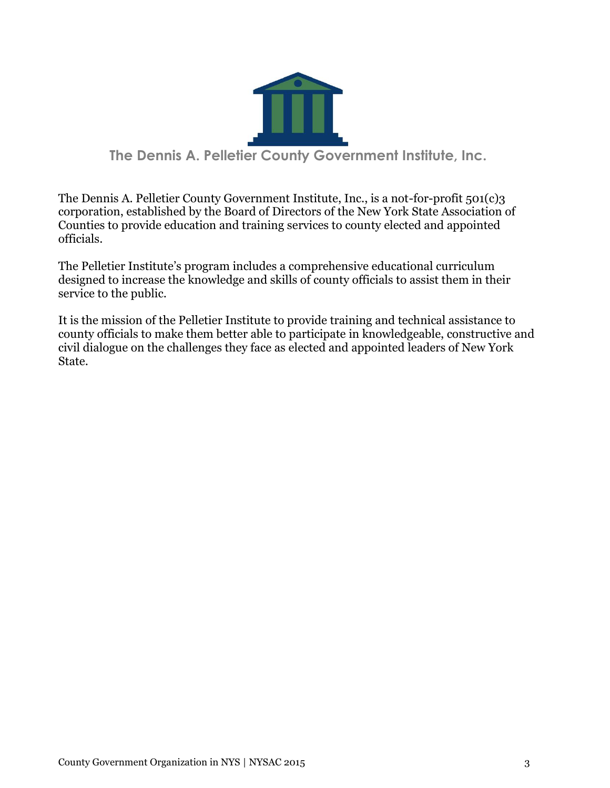

# **The Dennis A. Pelletier County Government Institute, Inc.**

The Dennis A. Pelletier County Government Institute, Inc., is a not-for-profit 501(c)3 corporation, established by the Board of Directors of the New York State Association of Counties to provide education and training services to county elected and appointed officials.

The Pelletier Institute's program includes a comprehensive educational curriculum designed to increase the knowledge and skills of county officials to assist them in their service to the public.

It is the mission of the Pelletier Institute to provide training and technical assistance to county officials to make them better able to participate in knowledgeable, constructive and civil dialogue on the challenges they face as elected and appointed leaders of New York State.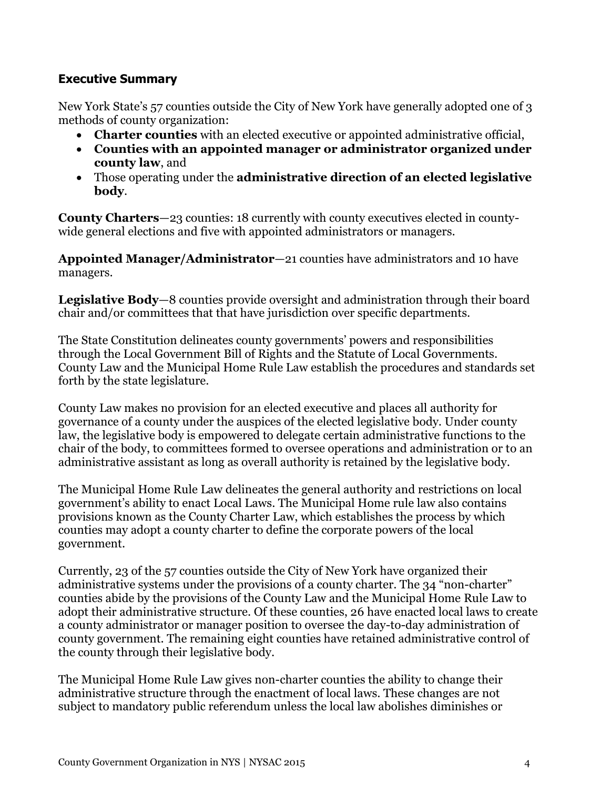#### **Executive Summary**

New York State's 57 counties outside the City of New York have generally adopted one of 3 methods of county organization:

- **Charter counties** with an elected executive or appointed administrative official,
- **Counties with an appointed manager or administrator organized under county law**, and
- Those operating under the **administrative direction of an elected legislative body**.

**County Charters**—23 counties: 18 currently with county executives elected in countywide general elections and five with appointed administrators or managers.

**Appointed Manager/Administrator**—21 counties have administrators and 10 have managers.

**Legislative Body**—8 counties provide oversight and administration through their board chair and/or committees that that have jurisdiction over specific departments.

The State Constitution delineates county governments' powers and responsibilities through the Local Government Bill of Rights and the Statute of Local Governments. County Law and the Municipal Home Rule Law establish the procedures and standards set forth by the state legislature.

County Law makes no provision for an elected executive and places all authority for governance of a county under the auspices of the elected legislative body. Under county law, the legislative body is empowered to delegate certain administrative functions to the chair of the body, to committees formed to oversee operations and administration or to an administrative assistant as long as overall authority is retained by the legislative body.

The Municipal Home Rule Law delineates the general authority and restrictions on local government's ability to enact Local Laws. The Municipal Home rule law also contains provisions known as the County Charter Law, which establishes the process by which counties may adopt a county charter to define the corporate powers of the local government.

Currently, 23 of the 57 counties outside the City of New York have organized their administrative systems under the provisions of a county charter. The 34 "non-charter" counties abide by the provisions of the County Law and the Municipal Home Rule Law to adopt their administrative structure. Of these counties, 26 have enacted local laws to create a county administrator or manager position to oversee the day-to-day administration of county government. The remaining eight counties have retained administrative control of the county through their legislative body.

The Municipal Home Rule Law gives non-charter counties the ability to change their administrative structure through the enactment of local laws. These changes are not subject to mandatory public referendum unless the local law abolishes diminishes or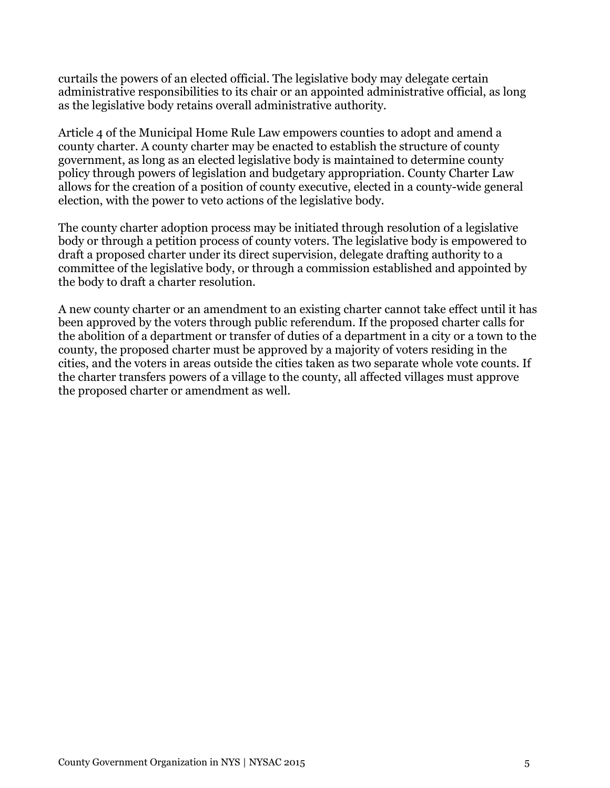curtails the powers of an elected official. The legislative body may delegate certain administrative responsibilities to its chair or an appointed administrative official, as long as the legislative body retains overall administrative authority.

Article 4 of the Municipal Home Rule Law empowers counties to adopt and amend a county charter. A county charter may be enacted to establish the structure of county government, as long as an elected legislative body is maintained to determine county policy through powers of legislation and budgetary appropriation. County Charter Law allows for the creation of a position of county executive, elected in a county-wide general election, with the power to veto actions of the legislative body.

The county charter adoption process may be initiated through resolution of a legislative body or through a petition process of county voters. The legislative body is empowered to draft a proposed charter under its direct supervision, delegate drafting authority to a committee of the legislative body, or through a commission established and appointed by the body to draft a charter resolution.

A new county charter or an amendment to an existing charter cannot take effect until it has been approved by the voters through public referendum. If the proposed charter calls for the abolition of a department or transfer of duties of a department in a city or a town to the county, the proposed charter must be approved by a majority of voters residing in the cities, and the voters in areas outside the cities taken as two separate whole vote counts. If the charter transfers powers of a village to the county, all affected villages must approve the proposed charter or amendment as well.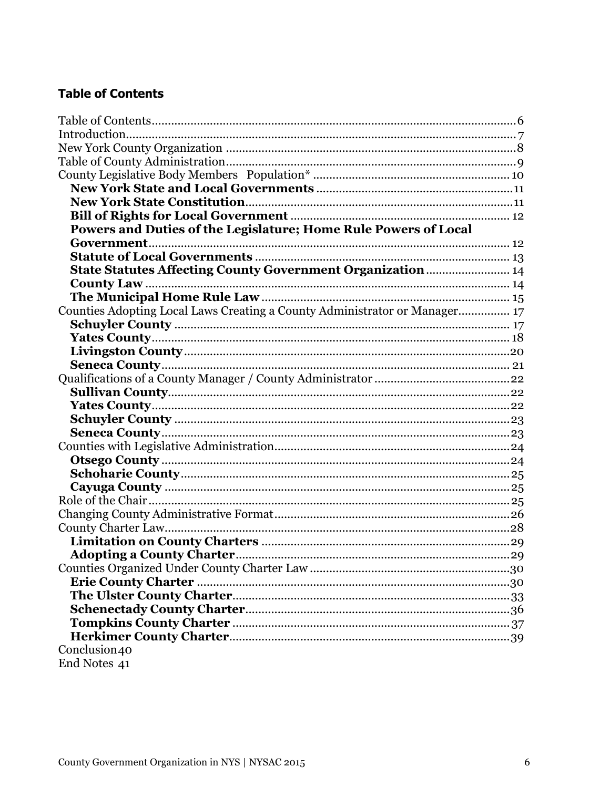# <span id="page-5-0"></span>**Table of Contents**

| Powers and Duties of the Legislature; Home Rule Powers of Local            |  |
|----------------------------------------------------------------------------|--|
|                                                                            |  |
|                                                                            |  |
| State Statutes Affecting County Government Organization  14                |  |
|                                                                            |  |
|                                                                            |  |
| Counties Adopting Local Laws Creating a County Administrator or Manager 17 |  |
|                                                                            |  |
|                                                                            |  |
|                                                                            |  |
|                                                                            |  |
|                                                                            |  |
|                                                                            |  |
|                                                                            |  |
|                                                                            |  |
|                                                                            |  |
|                                                                            |  |
|                                                                            |  |
|                                                                            |  |
|                                                                            |  |
|                                                                            |  |
|                                                                            |  |
|                                                                            |  |
|                                                                            |  |
|                                                                            |  |
|                                                                            |  |
|                                                                            |  |
|                                                                            |  |
|                                                                            |  |
|                                                                            |  |
|                                                                            |  |
| Conclusion <sub>40</sub>                                                   |  |
| End Notes 41                                                               |  |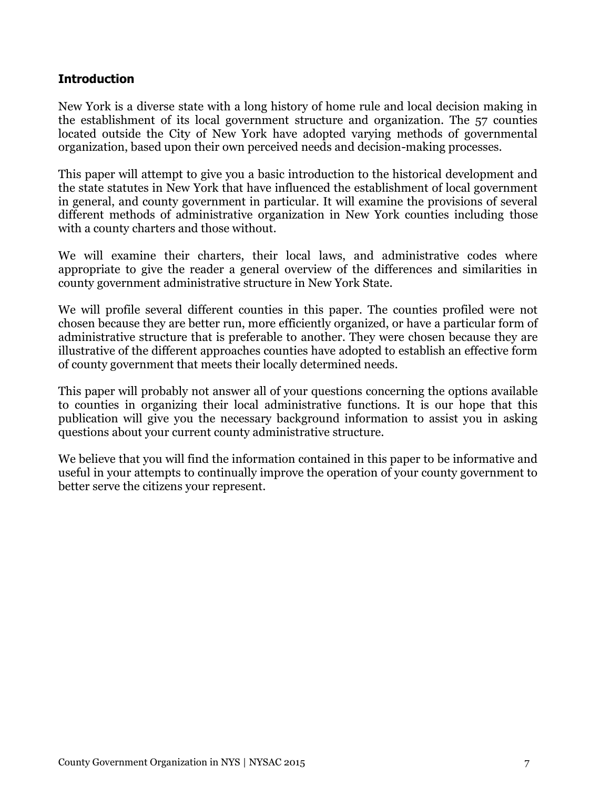#### <span id="page-6-0"></span>**Introduction**

New York is a diverse state with a long history of home rule and local decision making in the establishment of its local government structure and organization. The 57 counties located outside the City of New York have adopted varying methods of governmental organization, based upon their own perceived needs and decision-making processes.

This paper will attempt to give you a basic introduction to the historical development and the state statutes in New York that have influenced the establishment of local government in general, and county government in particular. It will examine the provisions of several different methods of administrative organization in New York counties including those with a county charters and those without.

We will examine their charters, their local laws, and administrative codes where appropriate to give the reader a general overview of the differences and similarities in county government administrative structure in New York State.

We will profile several different counties in this paper. The counties profiled were not chosen because they are better run, more efficiently organized, or have a particular form of administrative structure that is preferable to another. They were chosen because they are illustrative of the different approaches counties have adopted to establish an effective form of county government that meets their locally determined needs.

This paper will probably not answer all of your questions concerning the options available to counties in organizing their local administrative functions. It is our hope that this publication will give you the necessary background information to assist you in asking questions about your current county administrative structure.

We believe that you will find the information contained in this paper to be informative and useful in your attempts to continually improve the operation of your county government to better serve the citizens your represent.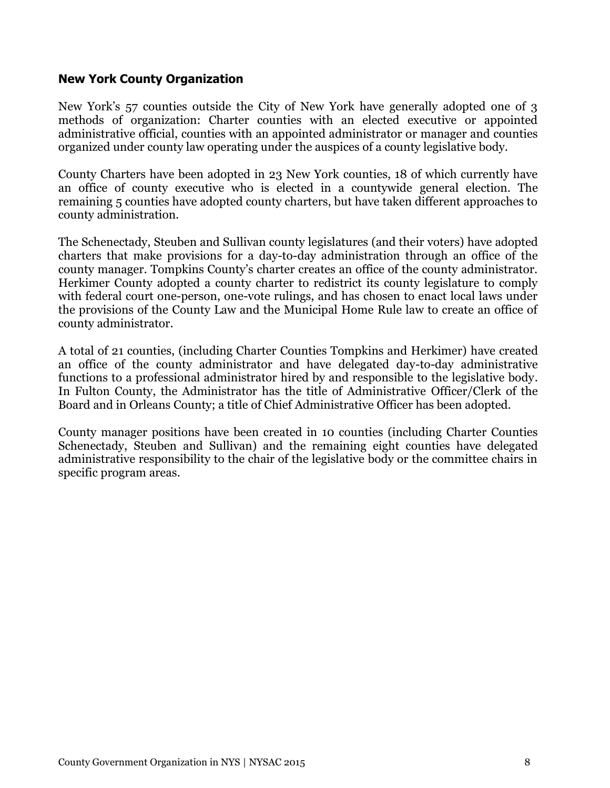#### <span id="page-7-0"></span>**New York County Organization**

New York's 57 counties outside the City of New York have generally adopted one of 3 methods of organization: Charter counties with an elected executive or appointed administrative official, counties with an appointed administrator or manager and counties organized under county law operating under the auspices of a county legislative body.

County Charters have been adopted in 23 New York counties, 18 of which currently have an office of county executive who is elected in a countywide general election. The remaining 5 counties have adopted county charters, but have taken different approaches to county administration.

The Schenectady, Steuben and Sullivan county legislatures (and their voters) have adopted charters that make provisions for a day-to-day administration through an office of the county manager. Tompkins County's charter creates an office of the county administrator. Herkimer County adopted a county charter to redistrict its county legislature to comply with federal court one-person, one-vote rulings, and has chosen to enact local laws under the provisions of the County Law and the Municipal Home Rule law to create an office of county administrator.

A total of 21 counties, (including Charter Counties Tompkins and Herkimer) have created an office of the county administrator and have delegated day-to-day administrative functions to a professional administrator hired by and responsible to the legislative body. In Fulton County, the Administrator has the title of Administrative Officer/Clerk of the Board and in Orleans County; a title of Chief Administrative Officer has been adopted.

County manager positions have been created in 10 counties (including Charter Counties Schenectady, Steuben and Sullivan) and the remaining eight counties have delegated administrative responsibility to the chair of the legislative body or the committee chairs in specific program areas.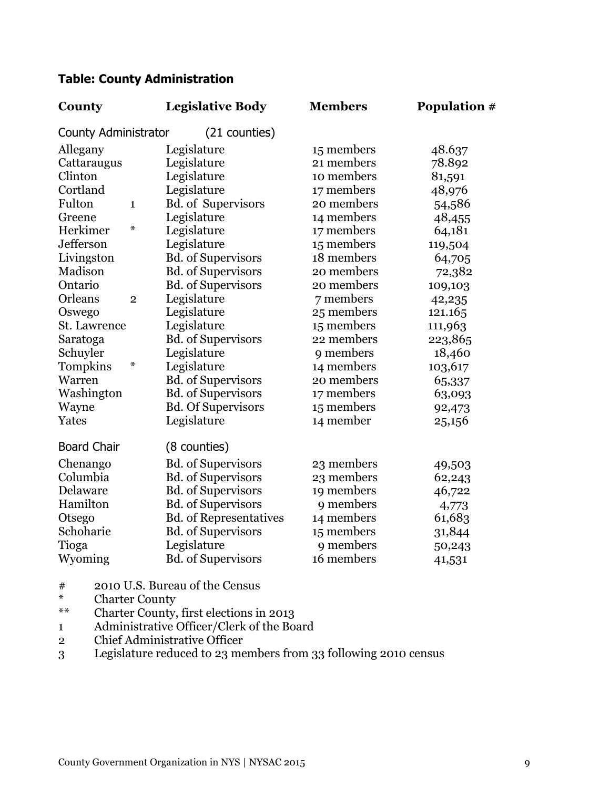#### <span id="page-8-0"></span>**Table: County Administration**

| County                      |                | <b>Legislative Body</b>       | <b>Members</b> | <b>Population #</b> |
|-----------------------------|----------------|-------------------------------|----------------|---------------------|
| <b>County Administrator</b> |                | (21 counties)                 |                |                     |
| Allegany                    |                | Legislature                   | 15 members     | 48.637              |
| Cattaraugus                 |                | Legislature                   | 21 members     | 78.892              |
| Clinton                     |                | Legislature                   | 10 members     | 81,591              |
| Cortland                    |                | Legislature                   | 17 members     | 48,976              |
| Fulton                      | $\mathbf{1}$   | <b>Bd. of Supervisors</b>     | 20 members     | 54,586              |
| Greene                      |                | Legislature                   | 14 members     | 48,455              |
| Herkimer                    | $\pmb{\times}$ | Legislature                   | 17 members     | 64,181              |
| Jefferson                   |                | Legislature                   | 15 members     | 119,504             |
| Livingston                  |                | <b>Bd.</b> of Supervisors     | 18 members     | 64,705              |
| Madison                     |                | <b>Bd.</b> of Supervisors     | 20 members     | 72,382              |
| Ontario                     |                | <b>Bd.</b> of Supervisors     | 20 members     | 109,103             |
| Orleans                     | $\overline{2}$ | Legislature                   | 7 members      | 42,235              |
| Oswego                      |                | Legislature                   | 25 members     | 121.165             |
| St. Lawrence                |                | Legislature                   | 15 members     | 111,963             |
| Saratoga                    |                | <b>Bd.</b> of Supervisors     | 22 members     | 223,865             |
| Schuyler                    |                | Legislature                   | 9 members      | 18,460              |
| Tompkins                    | $\pmb{\times}$ | Legislature                   | 14 members     | 103,617             |
| Warren                      |                | <b>Bd.</b> of Supervisors     | 20 members     | 65,337              |
| Washington                  |                | <b>Bd.</b> of Supervisors     | 17 members     | 63,093              |
| Wayne                       |                | <b>Bd. Of Supervisors</b>     | 15 members     | 92,473              |
| Yates                       |                | Legislature                   | 14 member      | 25,156              |
| <b>Board Chair</b>          |                | (8 counties)                  |                |                     |
| Chenango                    |                | <b>Bd.</b> of Supervisors     | 23 members     | 49,503              |
| Columbia                    |                | <b>Bd.</b> of Supervisors     | 23 members     | 62,243              |
| Delaware                    |                | <b>Bd.</b> of Supervisors     | 19 members     | 46,722              |
| Hamilton                    |                | <b>Bd.</b> of Supervisors     | 9 members      | 4,773               |
| Otsego                      |                | <b>Bd.</b> of Representatives | 14 members     | 61,683              |
| Schoharie                   |                | <b>Bd.</b> of Supervisors     | 15 members     | 31,844              |
| Tioga                       |                | Legislature                   | 9 members      | 50,243              |
| Wyoming                     |                | <b>Bd.</b> of Supervisors     | 16 members     | 41,531              |

- # 2010 U.S. Bureau of the Census
- \* Charter County
- \*\* Charter County, first elections in 2013
- 1 Administrative Officer/Clerk of the Board
- 2 Chief Administrative Officer
- <span id="page-8-1"></span>3 Legislature reduced to 23 members from 33 following 2010 census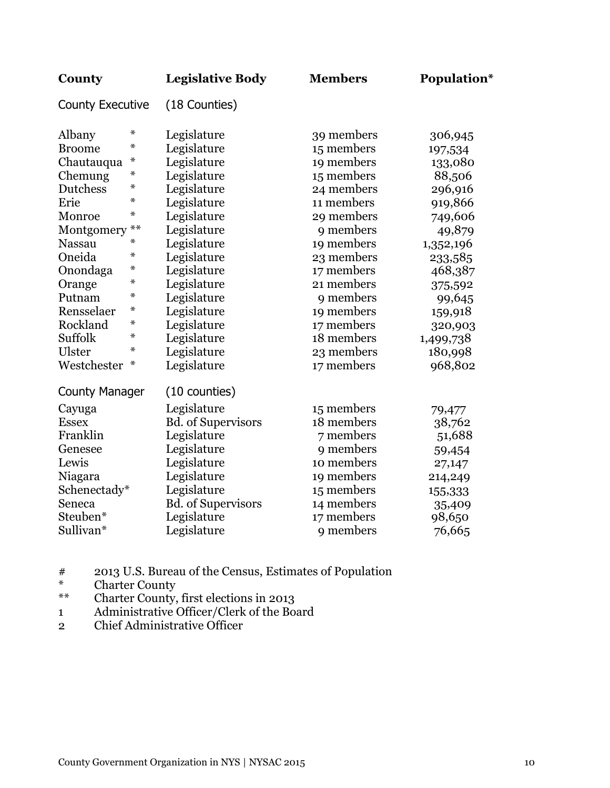| <b>County Executive</b><br>(18 Counties)<br>$\ast$<br>Albany<br>Legislature<br>39 members<br>306,945<br>$\pmb{\times}$<br>Legislature<br>15 members<br><b>Broome</b><br>197,534 |  |
|---------------------------------------------------------------------------------------------------------------------------------------------------------------------------------|--|
|                                                                                                                                                                                 |  |
|                                                                                                                                                                                 |  |
|                                                                                                                                                                                 |  |
| ∗<br>Legislature<br>19 members<br>Chautauqua<br>133,080                                                                                                                         |  |
| Legislature<br>$\ast$<br>15 members<br>Chemung<br>88,506                                                                                                                        |  |
| $\pmb{\times}$<br>Dutchess<br>Legislature<br>24 members<br>296,916                                                                                                              |  |
| $\pmb{\times}$<br>Legislature<br>11 members<br>Erie<br>919,866                                                                                                                  |  |
| $\pmb{\times}$<br>Legislature<br>29 members<br>749,606<br>Monroe                                                                                                                |  |
| $**$<br>Legislature<br>9 members<br>49,879<br>Montgomery                                                                                                                        |  |
| $\pmb{\times}$<br>Legislature<br>19 members<br><b>Nassau</b><br>1,352,196                                                                                                       |  |
| $\pmb{\times}$<br>Legislature<br>Oneida<br>23 members<br>233,585                                                                                                                |  |
| ∗<br>Legislature<br>Onondaga<br>17 members<br>468,387                                                                                                                           |  |
| $\pmb{\times}$<br>Legislature<br>21 members<br>Orange<br>375,592                                                                                                                |  |
| $\ast$<br>Putnam<br>Legislature<br>9 members<br>99,645                                                                                                                          |  |
| Legislature<br>Rensselaer<br>∗<br>19 members<br>159,918                                                                                                                         |  |
| $\pmb{\times}$<br>Rockland<br>Legislature<br>17 members<br>320,903                                                                                                              |  |
| Suffolk<br>$\pmb{\times}$<br>Legislature<br>18 members<br>1,499,738                                                                                                             |  |
| $\pmb{\times}$<br>Ulster<br>Legislature<br>23 members<br>180,998                                                                                                                |  |
| Westchester<br>$\ast$<br>Legislature<br>17 members<br>968,802                                                                                                                   |  |
| (10 counties)<br><b>County Manager</b>                                                                                                                                          |  |
| Legislature<br>Cayuga<br>15 members<br>79,477                                                                                                                                   |  |
| <b>Bd. of Supervisors</b><br><b>Essex</b><br>18 members<br>38,762                                                                                                               |  |
| Franklin<br>Legislature<br>7 members<br>51,688                                                                                                                                  |  |
| Legislature<br>9 members<br>Genesee<br>59,454                                                                                                                                   |  |
| Legislature<br>Lewis<br>10 members<br>27,147                                                                                                                                    |  |
| Legislature<br>Niagara<br>19 members<br>214,249                                                                                                                                 |  |
| Legislature<br>Schenectady*<br>15 members<br>155,333                                                                                                                            |  |
| <b>Bd.</b> of Supervisors<br>14 members<br>Seneca<br>35,409                                                                                                                     |  |
| Steuben*<br>Legislature<br>17 members<br>98,650                                                                                                                                 |  |
| Sullivan*<br>Legislature<br>9 members<br>76,665                                                                                                                                 |  |

- # 2013 U.S. Bureau of the Census, Estimates of Population
- \* Charter County
- \*\* Charter County, first elections in 2013
- 1 Administrative Officer/Clerk of the Board
- 2 Chief Administrative Officer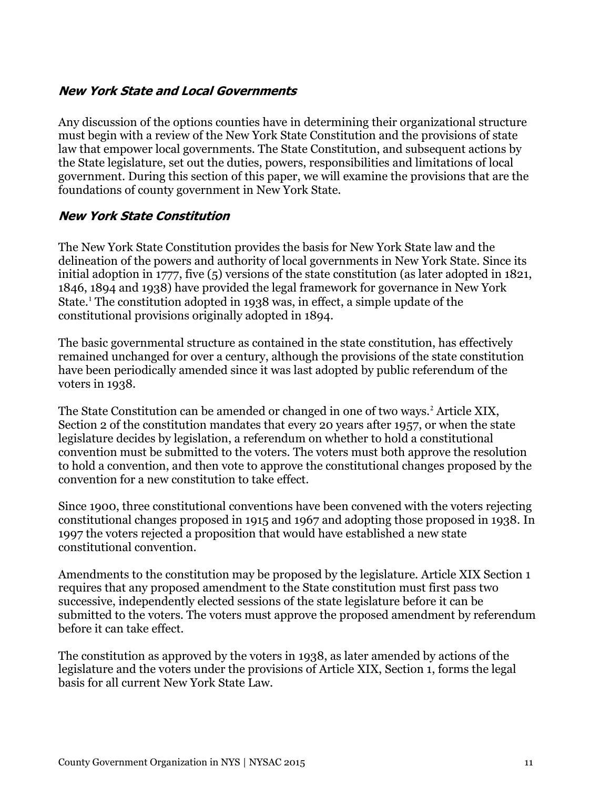#### <span id="page-10-0"></span>**New York State and Local Governments**

Any discussion of the options counties have in determining their organizational structure must begin with a review of the New York State Constitution and the provisions of state law that empower local governments. The State Constitution, and subsequent actions by the State legislature, set out the duties, powers, responsibilities and limitations of local government. During this section of this paper, we will examine the provisions that are the foundations of county government in New York State.

## <span id="page-10-1"></span>**New York State Constitution**

The New York State Constitution provides the basis for New York State law and the delineation of the powers and authority of local governments in New York State. Since its initial adoption in 1777, five (5) versions of the state constitution (as later adopted in 1821, 1846, 1894 and 1938) have provided the legal framework for governance in New York State.**<sup>1</sup>** The constitution adopted in 1938 was, in effect, a simple update of the constitutional provisions originally adopted in 1894.

The basic governmental structure as contained in the state constitution, has effectively remained unchanged for over a century, although the provisions of the state constitution have been periodically amended since it was last adopted by public referendum of the voters in 1938.

The State Constitution can be amended or changed in one of two ways.**<sup>2</sup>** Article XIX, Section 2 of the constitution mandates that every 20 years after 1957, or when the state legislature decides by legislation, a referendum on whether to hold a constitutional convention must be submitted to the voters. The voters must both approve the resolution to hold a convention, and then vote to approve the constitutional changes proposed by the convention for a new constitution to take effect.

Since 1900, three constitutional conventions have been convened with the voters rejecting constitutional changes proposed in 1915 and 1967 and adopting those proposed in 1938. In 1997 the voters rejected a proposition that would have established a new state constitutional convention.

Amendments to the constitution may be proposed by the legislature. Article XIX Section 1 requires that any proposed amendment to the State constitution must first pass two successive, independently elected sessions of the state legislature before it can be submitted to the voters. The voters must approve the proposed amendment by referendum before it can take effect.

The constitution as approved by the voters in 1938, as later amended by actions of the legislature and the voters under the provisions of Article XIX, Section 1, forms the legal basis for all current New York State Law.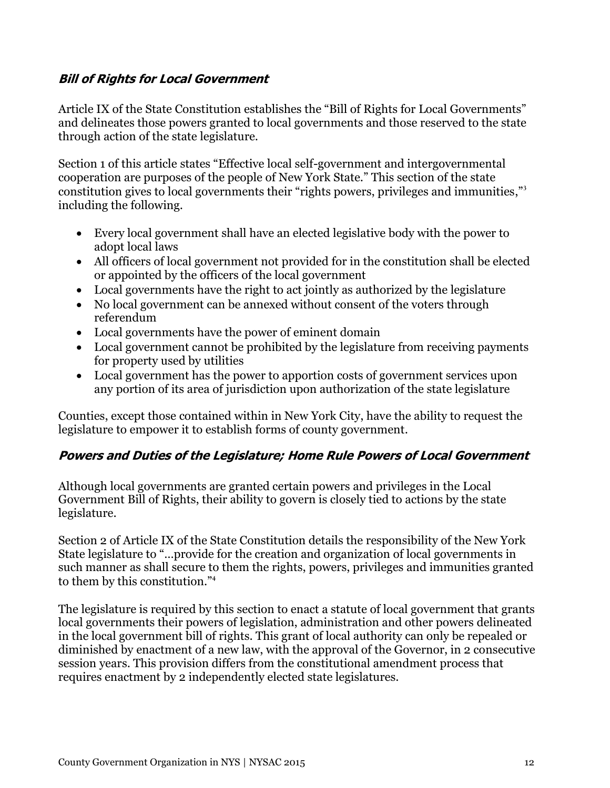## <span id="page-11-0"></span>**Bill of Rights for Local Government**

Article IX of the State Constitution establishes the "Bill of Rights for Local Governments" and delineates those powers granted to local governments and those reserved to the state through action of the state legislature.

Section 1 of this article states "Effective local self-government and intergovernmental cooperation are purposes of the people of New York State." This section of the state constitution gives to local governments their "rights powers, privileges and immunities," **3** including the following.

- Every local government shall have an elected legislative body with the power to adopt local laws
- All officers of local government not provided for in the constitution shall be elected or appointed by the officers of the local government
- Local governments have the right to act jointly as authorized by the legislature
- No local government can be annexed without consent of the voters through referendum
- Local governments have the power of eminent domain
- Local government cannot be prohibited by the legislature from receiving payments for property used by utilities
- Local government has the power to apportion costs of government services upon any portion of its area of jurisdiction upon authorization of the state legislature

Counties, except those contained within in New York City, have the ability to request the legislature to empower it to establish forms of county government.

## <span id="page-11-1"></span>**Powers and Duties of the Legislature; Home Rule Powers of Local Government**

Although local governments are granted certain powers and privileges in the Local Government Bill of Rights, their ability to govern is closely tied to actions by the state legislature.

Section 2 of Article IX of the State Constitution details the responsibility of the New York State legislature to "…provide for the creation and organization of local governments in such manner as shall secure to them the rights, powers, privileges and immunities granted to them by this constitution."**<sup>4</sup>**

The legislature is required by this section to enact a statute of local government that grants local governments their powers of legislation, administration and other powers delineated in the local government bill of rights. This grant of local authority can only be repealed or diminished by enactment of a new law, with the approval of the Governor, in 2 consecutive session years. This provision differs from the constitutional amendment process that requires enactment by 2 independently elected state legislatures.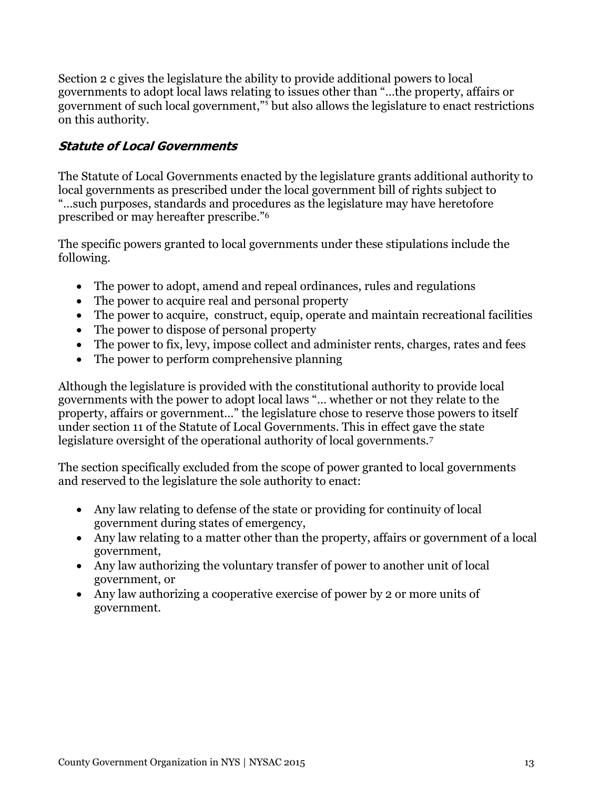Section 2 c gives the legislature the ability to provide additional powers to local governments to adopt local laws relating to issues other than "…the property, affairs or government of such local government,"**<sup>5</sup>** but also allows the legislature to enact restrictions on this authority.

# <span id="page-12-0"></span>**Statute of Local Governments**

The Statute of Local Governments enacted by the legislature grants additional authority to local governments as prescribed under the local government bill of rights subject to "…such purposes, standards and procedures as the legislature may have heretofore prescribed or may hereafter prescribe."<sup>6</sup>

The specific powers granted to local governments under these stipulations include the following.

- The power to adopt, amend and repeal ordinances, rules and regulations
- The power to acquire real and personal property
- The power to acquire, construct, equip, operate and maintain recreational facilities
- The power to dispose of personal property
- The power to fix, levy, impose collect and administer rents, charges, rates and fees
- The power to perform comprehensive planning

Although the legislature is provided with the constitutional authority to provide local governments with the power to adopt local laws "… whether or not they relate to the property, affairs or government…" the legislature chose to reserve those powers to itself under section 11 of the Statute of Local Governments. This in effect gave the state legislature oversight of the operational authority of local governments.<sup>7</sup>

The section specifically excluded from the scope of power granted to local governments and reserved to the legislature the sole authority to enact:

- Any law relating to defense of the state or providing for continuity of local government during states of emergency,
- Any law relating to a matter other than the property, affairs or government of a local government,
- Any law authorizing the voluntary transfer of power to another unit of local government, or
- Any law authorizing a cooperative exercise of power by 2 or more units of government.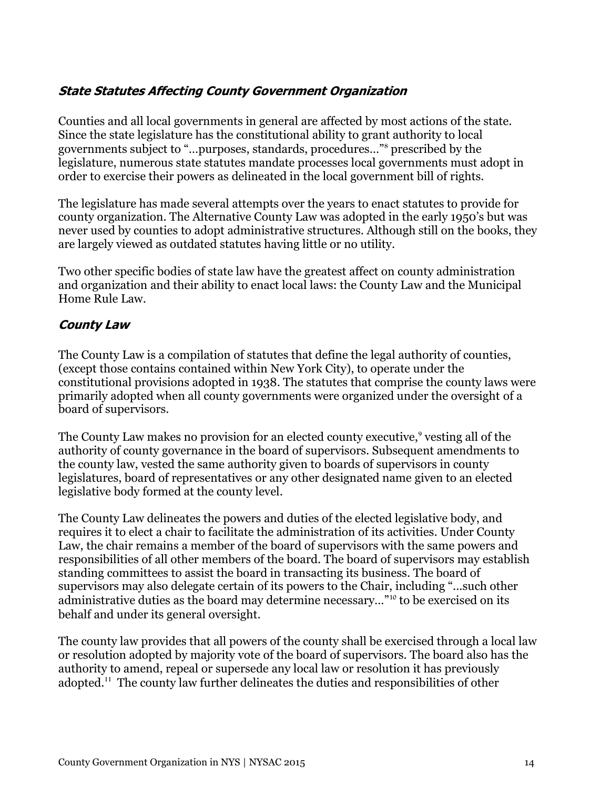## <span id="page-13-0"></span>**State Statutes Affecting County Government Organization**

Counties and all local governments in general are affected by most actions of the state. Since the state legislature has the constitutional ability to grant authority to local governments subject to "…purposes, standards, procedures…"**<sup>8</sup>** prescribed by the legislature, numerous state statutes mandate processes local governments must adopt in order to exercise their powers as delineated in the local government bill of rights.

The legislature has made several attempts over the years to enact statutes to provide for county organization. The Alternative County Law was adopted in the early 1950's but was never used by counties to adopt administrative structures. Although still on the books, they are largely viewed as outdated statutes having little or no utility.

Two other specific bodies of state law have the greatest affect on county administration and organization and their ability to enact local laws: the County Law and the Municipal Home Rule Law.

## <span id="page-13-1"></span>**County Law**

The County Law is a compilation of statutes that define the legal authority of counties, (except those contains contained within New York City), to operate under the constitutional provisions adopted in 1938. The statutes that comprise the county laws were primarily adopted when all county governments were organized under the oversight of a board of supervisors.

The County Law makes no provision for an elected county executive,**<sup>9</sup>** vesting all of the authority of county governance in the board of supervisors. Subsequent amendments to the county law, vested the same authority given to boards of supervisors in county legislatures, board of representatives or any other designated name given to an elected legislative body formed at the county level.

The County Law delineates the powers and duties of the elected legislative body, and requires it to elect a chair to facilitate the administration of its activities. Under County Law, the chair remains a member of the board of supervisors with the same powers and responsibilities of all other members of the board. The board of supervisors may establish standing committees to assist the board in transacting its business. The board of supervisors may also delegate certain of its powers to the Chair, including "...such other administrative duties as the board may determine necessary…"**<sup>10</sup>** to be exercised on its behalf and under its general oversight.

The county law provides that all powers of the county shall be exercised through a local law or resolution adopted by majority vote of the board of supervisors. The board also has the authority to amend, repeal or supersede any local law or resolution it has previously adopted.**<sup>11</sup>** The county law further delineates the duties and responsibilities of other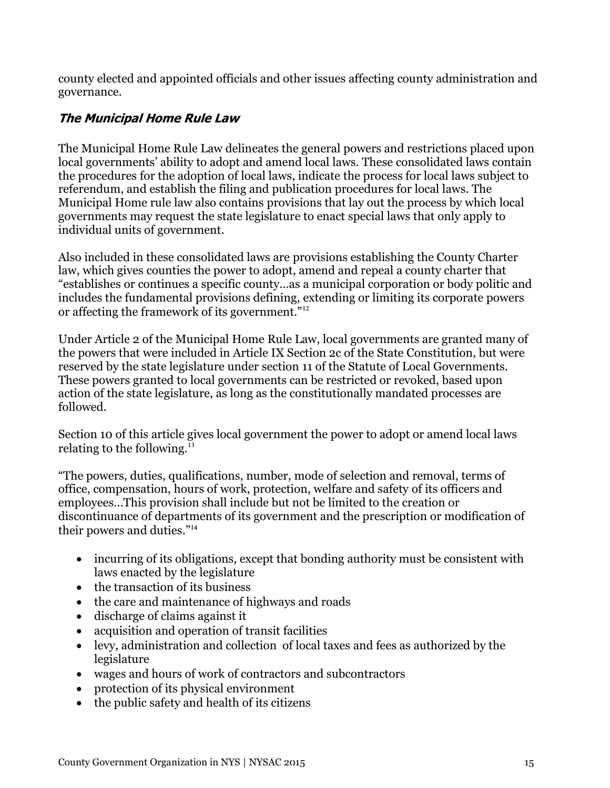county elected and appointed officials and other issues affecting county administration and governance.

## <span id="page-14-0"></span>**The Municipal Home Rule Law**

The Municipal Home Rule Law delineates the general powers and restrictions placed upon local governments' ability to adopt and amend local laws. These consolidated laws contain the procedures for the adoption of local laws, indicate the process for local laws subject to referendum, and establish the filing and publication procedures for local laws. The Municipal Home rule law also contains provisions that lay out the process by which local governments may request the state legislature to enact special laws that only apply to individual units of government.

Also included in these consolidated laws are provisions establishing the County Charter law, which gives counties the power to adopt, amend and repeal a county charter that "establishes or continues a specific county…as a municipal corporation or body politic and includes the fundamental provisions defining, extending or limiting its corporate powers or affecting the framework of its government."**<sup>12</sup>**

Under Article 2 of the Municipal Home Rule Law, local governments are granted many of the powers that were included in Article IX Section 2c of the State Constitution, but were reserved by the state legislature under section 11 of the Statute of Local Governments. These powers granted to local governments can be restricted or revoked, based upon action of the state legislature, as long as the constitutionally mandated processes are followed.

Section 10 of this article gives local government the power to adopt or amend local laws relating to the following.**<sup>13</sup>**

"The powers, duties, qualifications, number, mode of selection and removal, terms of office, compensation, hours of work, protection, welfare and safety of its officers and employees…This provision shall include but not be limited to the creation or discontinuance of departments of its government and the prescription or modification of their powers and duties."**<sup>14</sup>**

- incurring of its obligations, except that bonding authority must be consistent with laws enacted by the legislature
- the transaction of its business
- the care and maintenance of highways and roads
- discharge of claims against it
- acquisition and operation of transit facilities
- levy, administration and collection of local taxes and fees as authorized by the legislature
- wages and hours of work of contractors and subcontractors
- protection of its physical environment
- the public safety and health of its citizens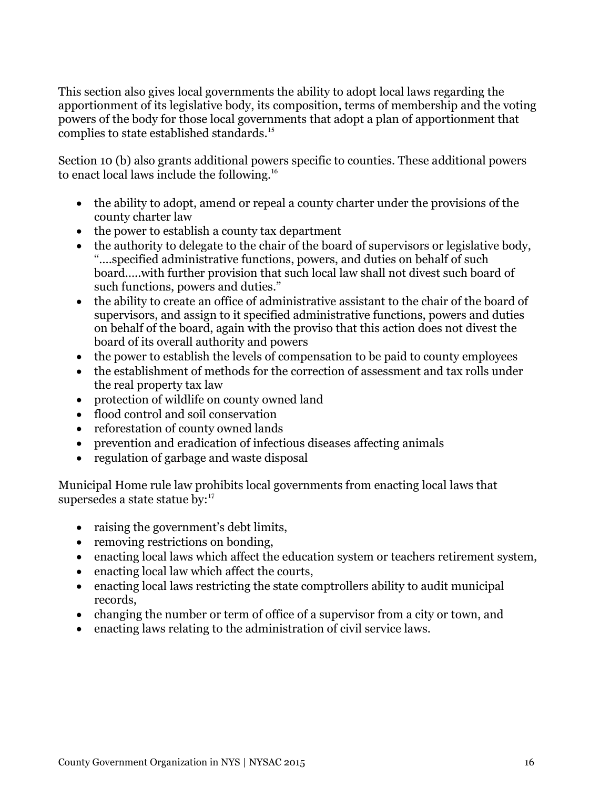This section also gives local governments the ability to adopt local laws regarding the apportionment of its legislative body, its composition, terms of membership and the voting powers of the body for those local governments that adopt a plan of apportionment that complies to state established standards. **15**

Section 10 (b) also grants additional powers specific to counties. These additional powers to enact local laws include the following.**<sup>16</sup>**

- the ability to adopt, amend or repeal a county charter under the provisions of the county charter law
- the power to establish a county tax department
- the authority to delegate to the chair of the board of supervisors or legislative body, "….specified administrative functions, powers, and duties on behalf of such board…..with further provision that such local law shall not divest such board of such functions, powers and duties."
- the ability to create an office of administrative assistant to the chair of the board of supervisors, and assign to it specified administrative functions, powers and duties on behalf of the board, again with the proviso that this action does not divest the board of its overall authority and powers
- the power to establish the levels of compensation to be paid to county employees
- the establishment of methods for the correction of assessment and tax rolls under the real property tax law
- protection of wildlife on county owned land
- flood control and soil conservation
- reforestation of county owned lands
- prevention and eradication of infectious diseases affecting animals
- regulation of garbage and waste disposal

Municipal Home rule law prohibits local governments from enacting local laws that supersedes a state statue by:**<sup>17</sup>**

- raising the government's debt limits,
- removing restrictions on bonding,
- enacting local laws which affect the education system or teachers retirement system,
- enacting local law which affect the courts,
- enacting local laws restricting the state comptrollers ability to audit municipal records,
- changing the number or term of office of a supervisor from a city or town, and
- enacting laws relating to the administration of civil service laws.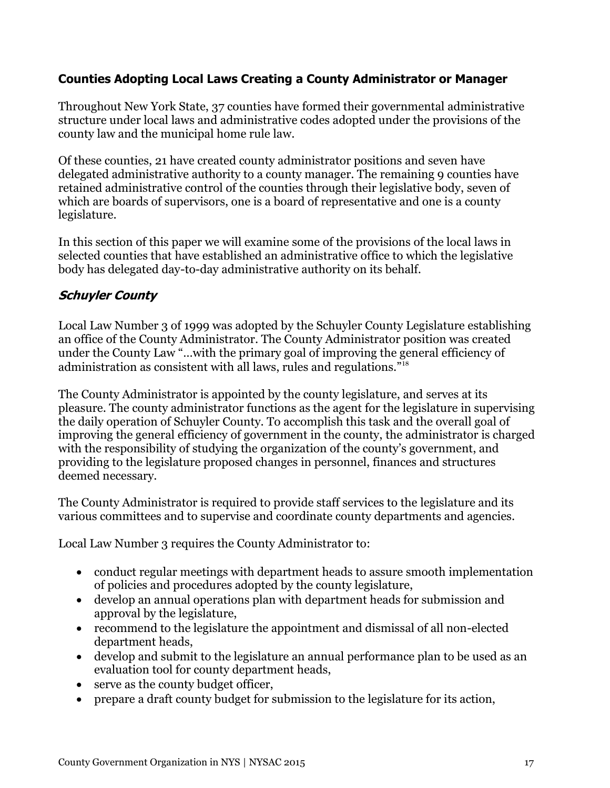#### <span id="page-16-0"></span>**Counties Adopting Local Laws Creating a County Administrator or Manager**

Throughout New York State, 37 counties have formed their governmental administrative structure under local laws and administrative codes adopted under the provisions of the county law and the municipal home rule law.

Of these counties, 21 have created county administrator positions and seven have delegated administrative authority to a county manager. The remaining 9 counties have retained administrative control of the counties through their legislative body, seven of which are boards of supervisors, one is a board of representative and one is a county legislature.

In this section of this paper we will examine some of the provisions of the local laws in selected counties that have established an administrative office to which the legislative body has delegated day-to-day administrative authority on its behalf.

## <span id="page-16-1"></span>**Schuyler County**

Local Law Number 3 of 1999 was adopted by the Schuyler County Legislature establishing an office of the County Administrator. The County Administrator position was created under the County Law "…with the primary goal of improving the general efficiency of administration as consistent with all laws, rules and regulations."**<sup>18</sup>**

The County Administrator is appointed by the county legislature, and serves at its pleasure. The county administrator functions as the agent for the legislature in supervising the daily operation of Schuyler County. To accomplish this task and the overall goal of improving the general efficiency of government in the county, the administrator is charged with the responsibility of studying the organization of the county's government, and providing to the legislature proposed changes in personnel, finances and structures deemed necessary.

The County Administrator is required to provide staff services to the legislature and its various committees and to supervise and coordinate county departments and agencies.

Local Law Number 3 requires the County Administrator to:

- conduct regular meetings with department heads to assure smooth implementation of policies and procedures adopted by the county legislature,
- develop an annual operations plan with department heads for submission and approval by the legislature,
- recommend to the legislature the appointment and dismissal of all non-elected department heads,
- develop and submit to the legislature an annual performance plan to be used as an evaluation tool for county department heads,
- serve as the county budget officer,
- prepare a draft county budget for submission to the legislature for its action,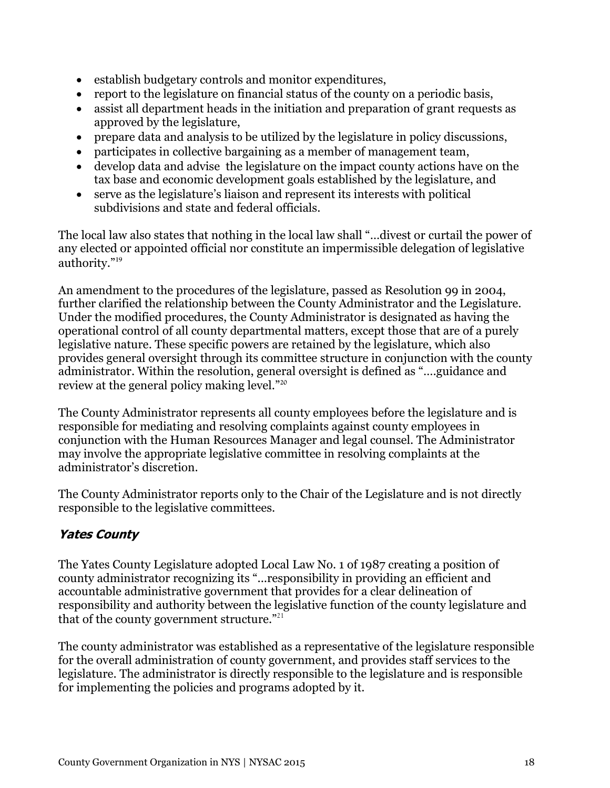- establish budgetary controls and monitor expenditures,
- report to the legislature on financial status of the county on a periodic basis,
- assist all department heads in the initiation and preparation of grant requests as approved by the legislature,
- prepare data and analysis to be utilized by the legislature in policy discussions,
- participates in collective bargaining as a member of management team,
- develop data and advise the legislature on the impact county actions have on the tax base and economic development goals established by the legislature, and
- serve as the legislature's liaison and represent its interests with political subdivisions and state and federal officials.

The local law also states that nothing in the local law shall "…divest or curtail the power of any elected or appointed official nor constitute an impermissible delegation of legislative authority."**<sup>19</sup>**

An amendment to the procedures of the legislature, passed as Resolution 99 in 2004, further clarified the relationship between the County Administrator and the Legislature. Under the modified procedures, the County Administrator is designated as having the operational control of all county departmental matters, except those that are of a purely legislative nature. These specific powers are retained by the legislature, which also provides general oversight through its committee structure in conjunction with the county administrator. Within the resolution, general oversight is defined as "….guidance and review at the general policy making level."**<sup>20</sup>**

The County Administrator represents all county employees before the legislature and is responsible for mediating and resolving complaints against county employees in conjunction with the Human Resources Manager and legal counsel. The Administrator may involve the appropriate legislative committee in resolving complaints at the administrator's discretion.

The County Administrator reports only to the Chair of the Legislature and is not directly responsible to the legislative committees.

# <span id="page-17-0"></span>**Yates County**

The Yates County Legislature adopted Local Law No. 1 of 1987 creating a position of county administrator recognizing its "...responsibility in providing an efficient and accountable administrative government that provides for a clear delineation of responsibility and authority between the legislative function of the county legislature and that of the county government structure."<sup>21</sup>

The county administrator was established as a representative of the legislature responsible for the overall administration of county government, and provides staff services to the legislature. The administrator is directly responsible to the legislature and is responsible for implementing the policies and programs adopted by it.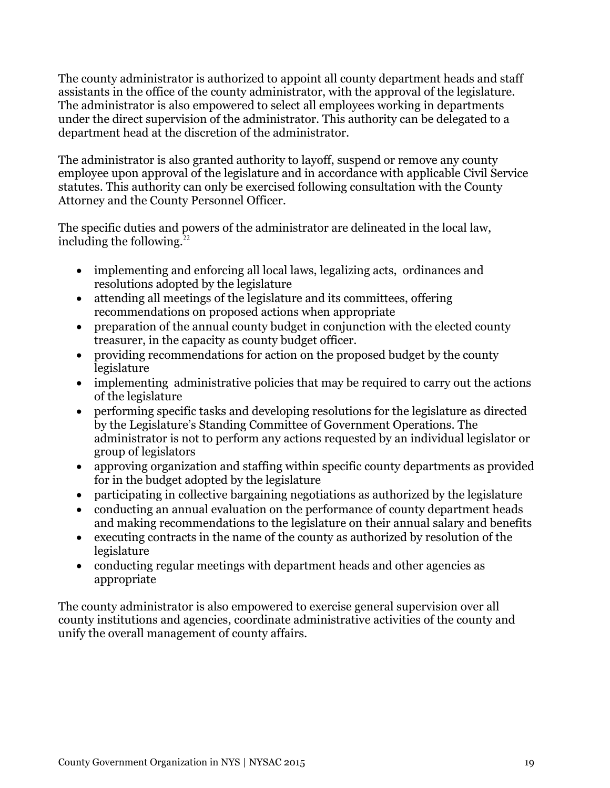The county administrator is authorized to appoint all county department heads and staff assistants in the office of the county administrator, with the approval of the legislature. The administrator is also empowered to select all employees working in departments under the direct supervision of the administrator. This authority can be delegated to a department head at the discretion of the administrator.

The administrator is also granted authority to layoff, suspend or remove any county employee upon approval of the legislature and in accordance with applicable Civil Service statutes. This authority can only be exercised following consultation with the County Attorney and the County Personnel Officer.

The specific duties and powers of the administrator are delineated in the local law, including the following. $22$ 

- implementing and enforcing all local laws, legalizing acts, ordinances and resolutions adopted by the legislature
- attending all meetings of the legislature and its committees, offering recommendations on proposed actions when appropriate
- preparation of the annual county budget in conjunction with the elected county treasurer, in the capacity as county budget officer.
- providing recommendations for action on the proposed budget by the county legislature
- implementing administrative policies that may be required to carry out the actions of the legislature
- performing specific tasks and developing resolutions for the legislature as directed by the Legislature's Standing Committee of Government Operations. The administrator is not to perform any actions requested by an individual legislator or group of legislators
- approving organization and staffing within specific county departments as provided for in the budget adopted by the legislature
- participating in collective bargaining negotiations as authorized by the legislature
- conducting an annual evaluation on the performance of county department heads and making recommendations to the legislature on their annual salary and benefits
- executing contracts in the name of the county as authorized by resolution of the legislature
- conducting regular meetings with department heads and other agencies as appropriate

The county administrator is also empowered to exercise general supervision over all county institutions and agencies, coordinate administrative activities of the county and unify the overall management of county affairs.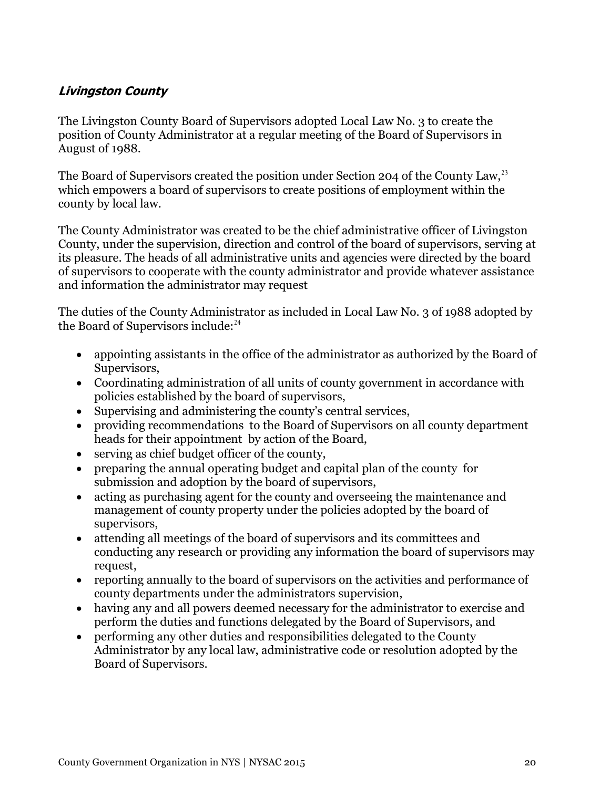## <span id="page-19-0"></span>**Livingston County**

The Livingston County Board of Supervisors adopted Local Law No. 3 to create the position of County Administrator at a regular meeting of the Board of Supervisors in August of 1988.

The Board of Supervisors created the position under Section 204 of the County Law,<sup>23</sup> which empowers a board of supervisors to create positions of employment within the county by local law.

The County Administrator was created to be the chief administrative officer of Livingston County, under the supervision, direction and control of the board of supervisors, serving at its pleasure. The heads of all administrative units and agencies were directed by the board of supervisors to cooperate with the county administrator and provide whatever assistance and information the administrator may request

The duties of the County Administrator as included in Local Law No. 3 of 1988 adopted by the Board of Supervisors include: $^{24}$ 

- appointing assistants in the office of the administrator as authorized by the Board of Supervisors,
- Coordinating administration of all units of county government in accordance with policies established by the board of supervisors,
- Supervising and administering the county's central services,
- providing recommendations to the Board of Supervisors on all county department heads for their appointment by action of the Board,
- serving as chief budget officer of the county,
- preparing the annual operating budget and capital plan of the county for submission and adoption by the board of supervisors,
- acting as purchasing agent for the county and overseeing the maintenance and management of county property under the policies adopted by the board of supervisors,
- attending all meetings of the board of supervisors and its committees and conducting any research or providing any information the board of supervisors may request,
- reporting annually to the board of supervisors on the activities and performance of county departments under the administrators supervision,
- having any and all powers deemed necessary for the administrator to exercise and perform the duties and functions delegated by the Board of Supervisors, and
- performing any other duties and responsibilities delegated to the County Administrator by any local law, administrative code or resolution adopted by the Board of Supervisors.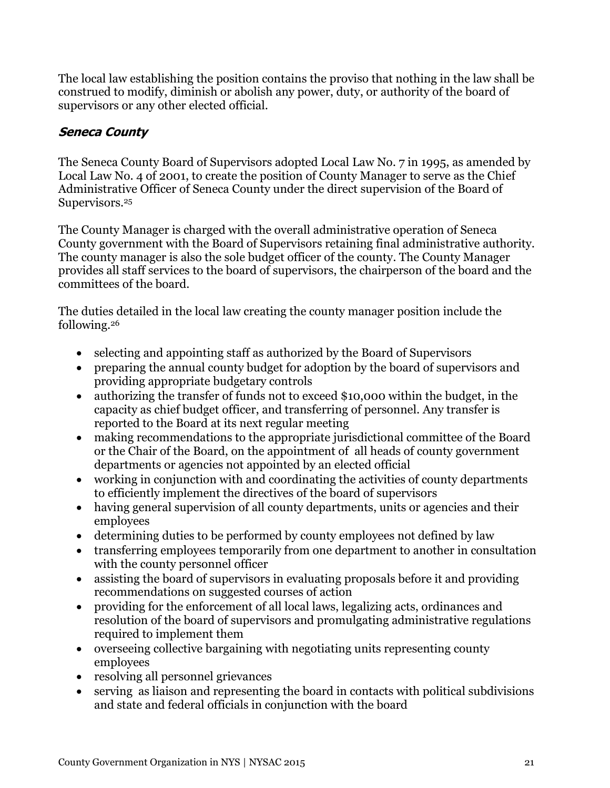The local law establishing the position contains the proviso that nothing in the law shall be construed to modify, diminish or abolish any power, duty, or authority of the board of supervisors or any other elected official.

# <span id="page-20-0"></span>**Seneca County**

The Seneca County Board of Supervisors adopted Local Law No. 7 in 1995, as amended by Local Law No. 4 of 2001, to create the position of County Manager to serve as the Chief Administrative Officer of Seneca County under the direct supervision of the Board of Supervisors.<sup>25</sup>

The County Manager is charged with the overall administrative operation of Seneca County government with the Board of Supervisors retaining final administrative authority. The county manager is also the sole budget officer of the county. The County Manager provides all staff services to the board of supervisors, the chairperson of the board and the committees of the board.

The duties detailed in the local law creating the county manager position include the following.<sup>26</sup>

- selecting and appointing staff as authorized by the Board of Supervisors
- preparing the annual county budget for adoption by the board of supervisors and providing appropriate budgetary controls
- authorizing the transfer of funds not to exceed \$10,000 within the budget, in the capacity as chief budget officer, and transferring of personnel. Any transfer is reported to the Board at its next regular meeting
- making recommendations to the appropriate jurisdictional committee of the Board or the Chair of the Board, on the appointment of all heads of county government departments or agencies not appointed by an elected official
- working in conjunction with and coordinating the activities of county departments to efficiently implement the directives of the board of supervisors
- having general supervision of all county departments, units or agencies and their employees
- determining duties to be performed by county employees not defined by law
- transferring employees temporarily from one department to another in consultation with the county personnel officer
- assisting the board of supervisors in evaluating proposals before it and providing recommendations on suggested courses of action
- providing for the enforcement of all local laws, legalizing acts, ordinances and resolution of the board of supervisors and promulgating administrative regulations required to implement them
- overseeing collective bargaining with negotiating units representing county employees
- resolving all personnel grievances
- serving as liaison and representing the board in contacts with political subdivisions and state and federal officials in conjunction with the board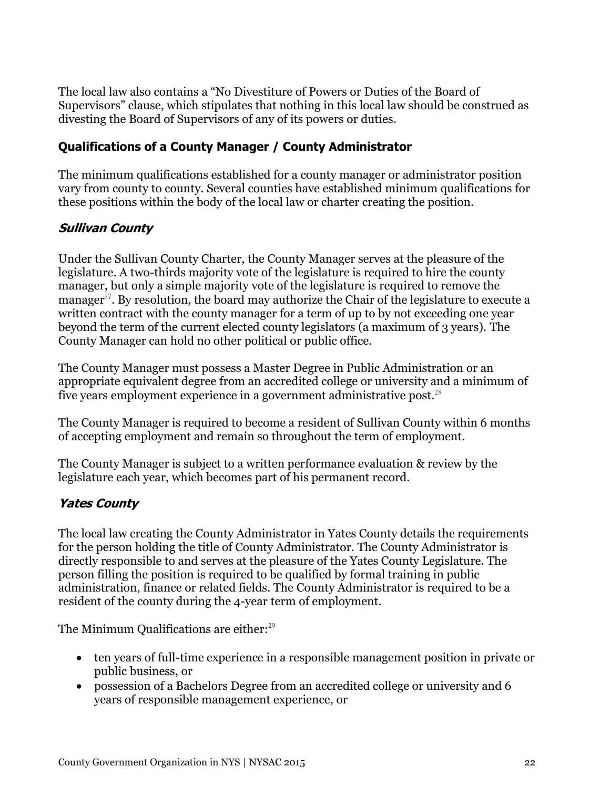The local law also contains a "No Divestiture of Powers or Duties of the Board of Supervisors" clause, which stipulates that nothing in this local law should be construed as divesting the Board of Supervisors of any of its powers or duties.

## <span id="page-21-0"></span>**Qualifications of a County Manager / County Administrator**

The minimum qualifications established for a county manager or administrator position vary from county to county. Several counties have established minimum qualifications for these positions within the body of the local law or charter creating the position.

## <span id="page-21-1"></span>**Sullivan County**

Under the Sullivan County Charter, the County Manager serves at the pleasure of the legislature. A two-thirds majority vote of the legislature is required to hire the county manager, but only a simple majority vote of the legislature is required to remove the manager<sup>27</sup>. By resolution, the board may authorize the Chair of the legislature to execute a written contract with the county manager for a term of up to by not exceeding one year beyond the term of the current elected county legislators (a maximum of 3 years). The County Manager can hold no other political or public office.

The County Manager must possess a Master Degree in Public Administration or an appropriate equivalent degree from an accredited college or university and a minimum of five years employment experience in a government administrative post.<sup>28</sup>

The County Manager is required to become a resident of Sullivan County within 6 months of accepting employment and remain so throughout the term of employment.

The County Manager is subject to a written performance evaluation & review by the legislature each year, which becomes part of his permanent record.

## <span id="page-21-2"></span>**Yates County**

The local law creating the County Administrator in Yates County details the requirements for the person holding the title of County Administrator. The County Administrator is directly responsible to and serves at the pleasure of the Yates County Legislature. The person filling the position is required to be qualified by formal training in public administration, finance or related fields. The County Administrator is required to be a resident of the county during the 4-year term of employment.

The Minimum Qualifications are either:<sup>29</sup>

- ten years of full-time experience in a responsible management position in private or public business, or
- possession of a Bachelors Degree from an accredited college or university and 6 years of responsible management experience, or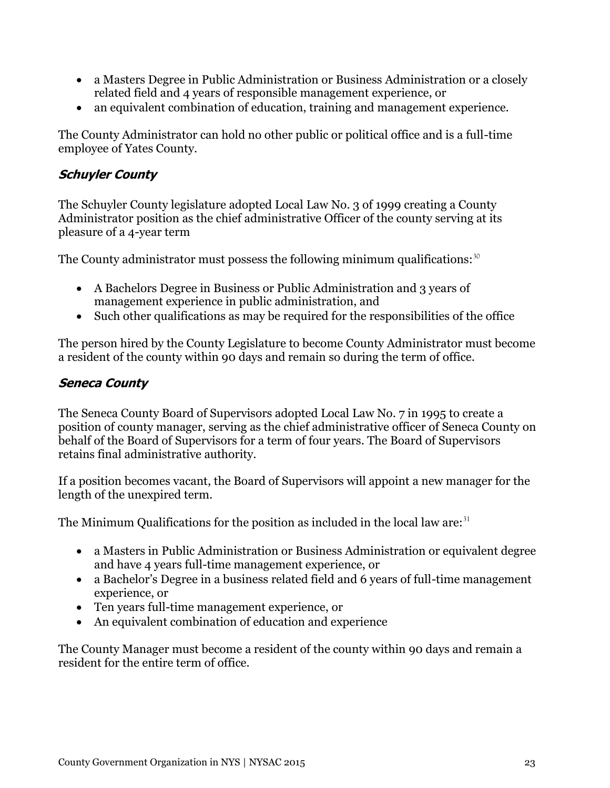- a Masters Degree in Public Administration or Business Administration or a closely related field and 4 years of responsible management experience, or
- an equivalent combination of education, training and management experience.

The County Administrator can hold no other public or political office and is a full-time employee of Yates County.

## <span id="page-22-0"></span>**Schuyler County**

The Schuyler County legislature adopted Local Law No. 3 of 1999 creating a County Administrator position as the chief administrative Officer of the county serving at its pleasure of a 4-year term

The County administrator must possess the following minimum qualifications:  $30$ 

- A Bachelors Degree in Business or Public Administration and 3 years of management experience in public administration, and
- Such other qualifications as may be required for the responsibilities of the office

The person hired by the County Legislature to become County Administrator must become a resident of the county within 90 days and remain so during the term of office.

#### <span id="page-22-1"></span>**Seneca County**

The Seneca County Board of Supervisors adopted Local Law No. 7 in 1995 to create a position of county manager, serving as the chief administrative officer of Seneca County on behalf of the Board of Supervisors for a term of four years. The Board of Supervisors retains final administrative authority.

If a position becomes vacant, the Board of Supervisors will appoint a new manager for the length of the unexpired term.

The Minimum Qualifications for the position as included in the local law are:<sup>31</sup>

- a Masters in Public Administration or Business Administration or equivalent degree and have 4 years full-time management experience, or
- a Bachelor's Degree in a business related field and 6 years of full-time management experience, or
- Ten years full-time management experience, or
- An equivalent combination of education and experience

The County Manager must become a resident of the county within 90 days and remain a resident for the entire term of office.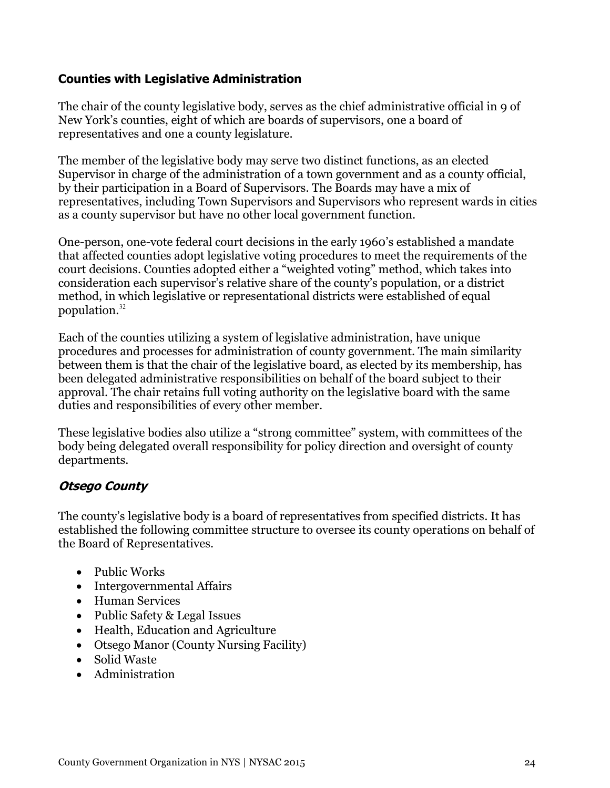#### <span id="page-23-0"></span>**Counties with Legislative Administration**

The chair of the county legislative body, serves as the chief administrative official in 9 of New York's counties, eight of which are boards of supervisors, one a board of representatives and one a county legislature.

The member of the legislative body may serve two distinct functions, as an elected Supervisor in charge of the administration of a town government and as a county official, by their participation in a Board of Supervisors. The Boards may have a mix of representatives, including Town Supervisors and Supervisors who represent wards in cities as a county supervisor but have no other local government function.

One-person, one-vote federal court decisions in the early 1960's established a mandate that affected counties adopt legislative voting procedures to meet the requirements of the court decisions. Counties adopted either a "weighted voting" method, which takes into consideration each supervisor's relative share of the county's population, or a district method, in which legislative or representational districts were established of equal population. $32$ 

Each of the counties utilizing a system of legislative administration, have unique procedures and processes for administration of county government. The main similarity between them is that the chair of the legislative board, as elected by its membership, has been delegated administrative responsibilities on behalf of the board subject to their approval. The chair retains full voting authority on the legislative board with the same duties and responsibilities of every other member.

These legislative bodies also utilize a "strong committee" system, with committees of the body being delegated overall responsibility for policy direction and oversight of county departments.

## <span id="page-23-1"></span>**Otsego County**

The county's legislative body is a board of representatives from specified districts. It has established the following committee structure to oversee its county operations on behalf of the Board of Representatives.

- Public Works
- Intergovernmental Affairs
- Human Services
- Public Safety & Legal Issues
- Health, Education and Agriculture
- Otsego Manor (County Nursing Facility)
- Solid Waste
- Administration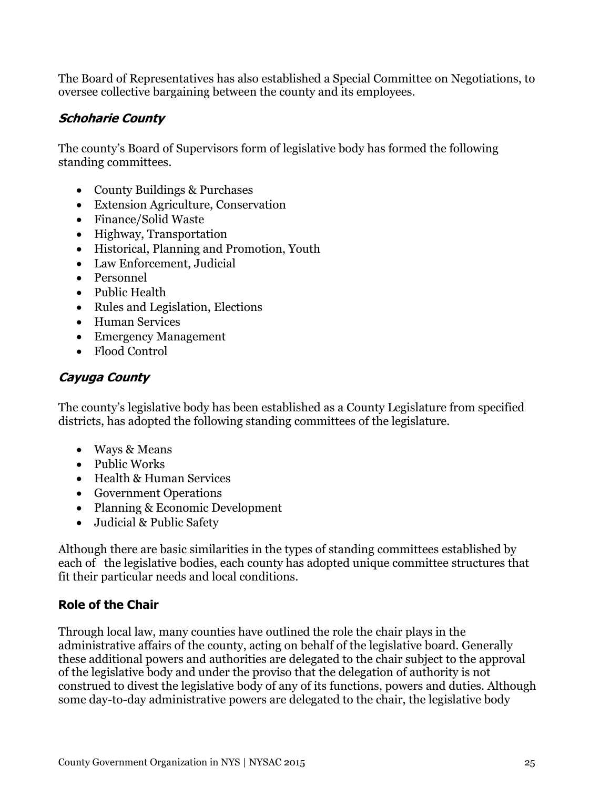The Board of Representatives has also established a Special Committee on Negotiations, to oversee collective bargaining between the county and its employees.

#### <span id="page-24-0"></span>**Schoharie County**

The county's Board of Supervisors form of legislative body has formed the following standing committees.

- County Buildings & Purchases
- Extension Agriculture, Conservation
- Finance/Solid Waste
- Highway, Transportation
- Historical, Planning and Promotion, Youth
- Law Enforcement, Judicial
- Personnel
- Public Health
- Rules and Legislation, Elections
- Human Services
- Emergency Management
- Flood Control

#### <span id="page-24-1"></span>**Cayuga County**

The county's legislative body has been established as a County Legislature from specified districts, has adopted the following standing committees of the legislature.

- Ways & Means
- Public Works
- Health & Human Services
- Government Operations
- Planning & Economic Development
- Judicial & Public Safety

Although there are basic similarities in the types of standing committees established by each of the legislative bodies, each county has adopted unique committee structures that fit their particular needs and local conditions.

#### <span id="page-24-2"></span>**Role of the Chair**

Through local law, many counties have outlined the role the chair plays in the administrative affairs of the county, acting on behalf of the legislative board. Generally these additional powers and authorities are delegated to the chair subject to the approval of the legislative body and under the proviso that the delegation of authority is not construed to divest the legislative body of any of its functions, powers and duties. Although some day-to-day administrative powers are delegated to the chair, the legislative body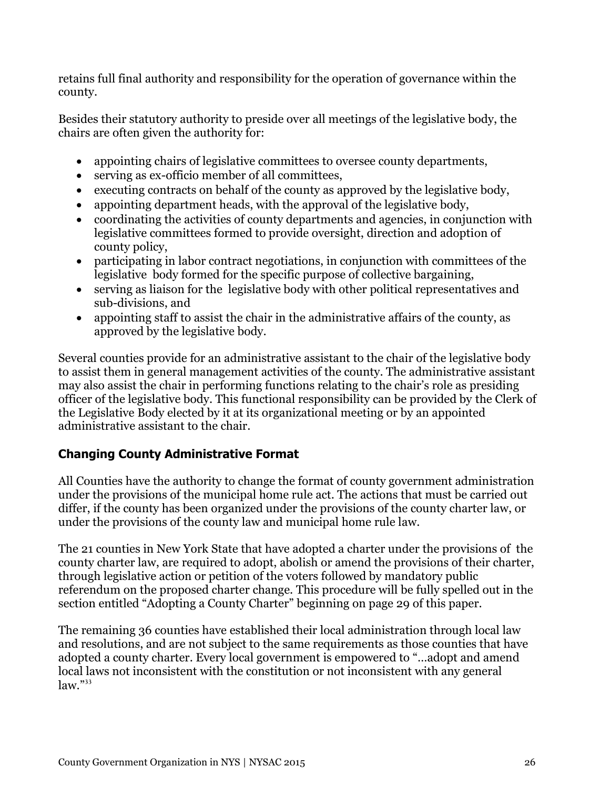retains full final authority and responsibility for the operation of governance within the county.

Besides their statutory authority to preside over all meetings of the legislative body, the chairs are often given the authority for:

- appointing chairs of legislative committees to oversee county departments,
- serving as ex-officio member of all committees,
- executing contracts on behalf of the county as approved by the legislative body,
- appointing department heads, with the approval of the legislative body,
- coordinating the activities of county departments and agencies, in conjunction with legislative committees formed to provide oversight, direction and adoption of county policy,
- participating in labor contract negotiations, in conjunction with committees of the legislative body formed for the specific purpose of collective bargaining,
- serving as liaison for the legislative body with other political representatives and sub-divisions, and
- appointing staff to assist the chair in the administrative affairs of the county, as approved by the legislative body.

Several counties provide for an administrative assistant to the chair of the legislative body to assist them in general management activities of the county. The administrative assistant may also assist the chair in performing functions relating to the chair's role as presiding officer of the legislative body. This functional responsibility can be provided by the Clerk of the Legislative Body elected by it at its organizational meeting or by an appointed administrative assistant to the chair.

# <span id="page-25-0"></span>**Changing County Administrative Format**

All Counties have the authority to change the format of county government administration under the provisions of the municipal home rule act. The actions that must be carried out differ, if the county has been organized under the provisions of the county charter law, or under the provisions of the county law and municipal home rule law.

The 21 counties in New York State that have adopted a charter under the provisions of the county charter law, are required to adopt, abolish or amend the provisions of their charter, through legislative action or petition of the voters followed by mandatory public referendum on the proposed charter change. This procedure will be fully spelled out in the section entitled "Adopting a County Charter" beginning on page 29 of this paper.

The remaining 36 counties have established their local administration through local law and resolutions, and are not subject to the same requirements as those counties that have adopted a county charter. Every local government is empowered to "…adopt and amend local laws not inconsistent with the constitution or not inconsistent with any general law."**33**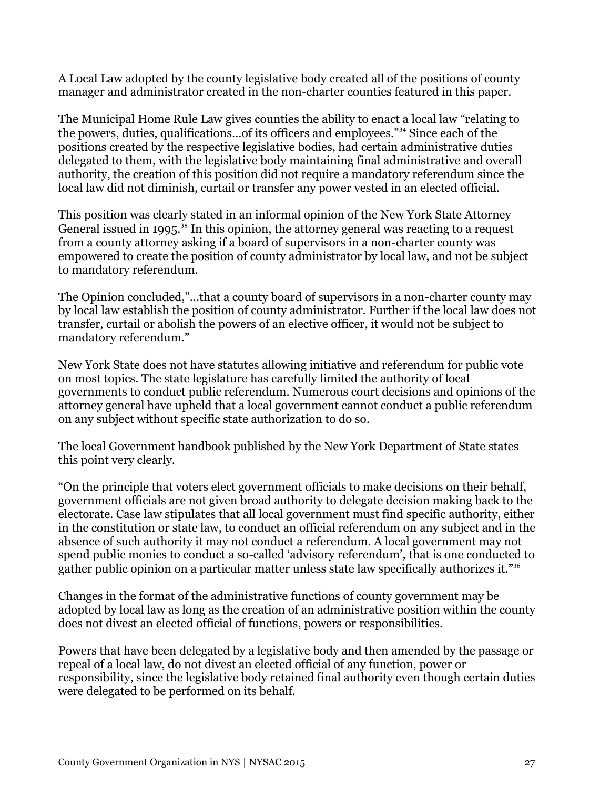A Local Law adopted by the county legislative body created all of the positions of county manager and administrator created in the non-charter counties featured in this paper.

The Municipal Home Rule Law gives counties the ability to enact a local law "relating to the powers, duties, qualifications…of its officers and employees."**<sup>34</sup>** Since each of the positions created by the respective legislative bodies, had certain administrative duties delegated to them, with the legislative body maintaining final administrative and overall authority, the creation of this position did not require a mandatory referendum since the local law did not diminish, curtail or transfer any power vested in an elected official.

This position was clearly stated in an informal opinion of the New York State Attorney General issued in 1995.**<sup>35</sup>** In this opinion, the attorney general was reacting to a request from a county attorney asking if a board of supervisors in a non-charter county was empowered to create the position of county administrator by local law, and not be subject to mandatory referendum.

The Opinion concluded,"...that a county board of supervisors in a non-charter county may by local law establish the position of county administrator. Further if the local law does not transfer, curtail or abolish the powers of an elective officer, it would not be subject to mandatory referendum."

New York State does not have statutes allowing initiative and referendum for public vote on most topics. The state legislature has carefully limited the authority of local governments to conduct public referendum. Numerous court decisions and opinions of the attorney general have upheld that a local government cannot conduct a public referendum on any subject without specific state authorization to do so.

The local Government handbook published by the New York Department of State states this point very clearly.

"On the principle that voters elect government officials to make decisions on their behalf, government officials are not given broad authority to delegate decision making back to the electorate. Case law stipulates that all local government must find specific authority, either in the constitution or state law, to conduct an official referendum on any subject and in the absence of such authority it may not conduct a referendum. A local government may not spend public monies to conduct a so-called 'advisory referendum', that is one conducted to gather public opinion on a particular matter unless state law specifically authorizes it."**<sup>36</sup>**

Changes in the format of the administrative functions of county government may be adopted by local law as long as the creation of an administrative position within the county does not divest an elected official of functions, powers or responsibilities.

Powers that have been delegated by a legislative body and then amended by the passage or repeal of a local law, do not divest an elected official of any function, power or responsibility, since the legislative body retained final authority even though certain duties were delegated to be performed on its behalf.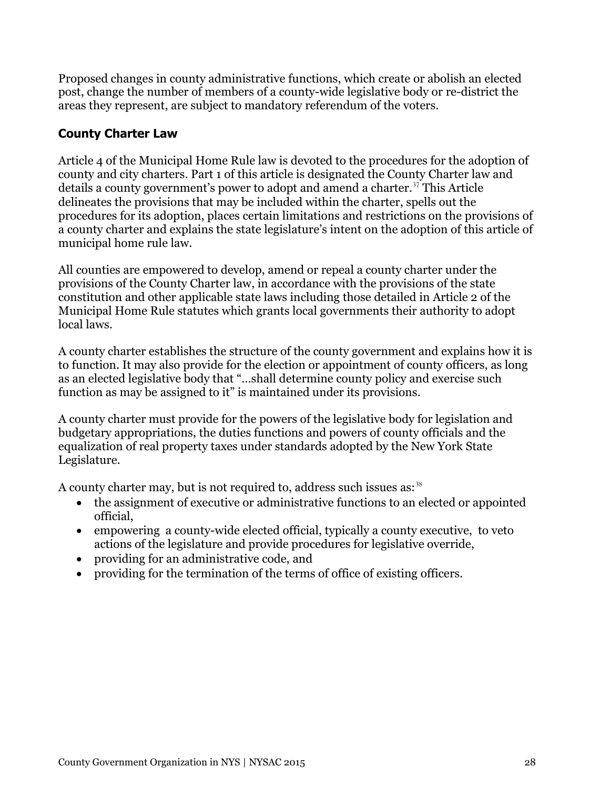Proposed changes in county administrative functions, which create or abolish an elected post, change the number of members of a county-wide legislative body or re-district the areas they represent, are subject to mandatory referendum of the voters.

# <span id="page-27-0"></span>**County Charter Law**

Article 4 of the Municipal Home Rule law is devoted to the procedures for the adoption of county and city charters. Part 1 of this article is designated the County Charter law and details a county government's power to adopt and amend a charter.<sup>37</sup> This Article delineates the provisions that may be included within the charter, spells out the procedures for its adoption, places certain limitations and restrictions on the provisions of a county charter and explains the state legislature's intent on the adoption of this article of municipal home rule law.

All counties are empowered to develop, amend or repeal a county charter under the provisions of the County Charter law, in accordance with the provisions of the state constitution and other applicable state laws including those detailed in Article 2 of the Municipal Home Rule statutes which grants local governments their authority to adopt local laws.

A county charter establishes the structure of the county government and explains how it is to function. It may also provide for the election or appointment of county officers, as long as an elected legislative body that "…shall determine county policy and exercise such function as may be assigned to it" is maintained under its provisions.

A county charter must provide for the powers of the legislative body for legislation and budgetary appropriations, the duties functions and powers of county officials and the equalization of real property taxes under standards adopted by the New York State Legislature.

A county charter may, but is not required to, address such issues as:  $38$ 

- the assignment of executive or administrative functions to an elected or appointed official,
- empowering a county-wide elected official, typically a county executive, to veto actions of the legislature and provide procedures for legislative override,
- providing for an administrative code, and
- providing for the termination of the terms of office of existing officers.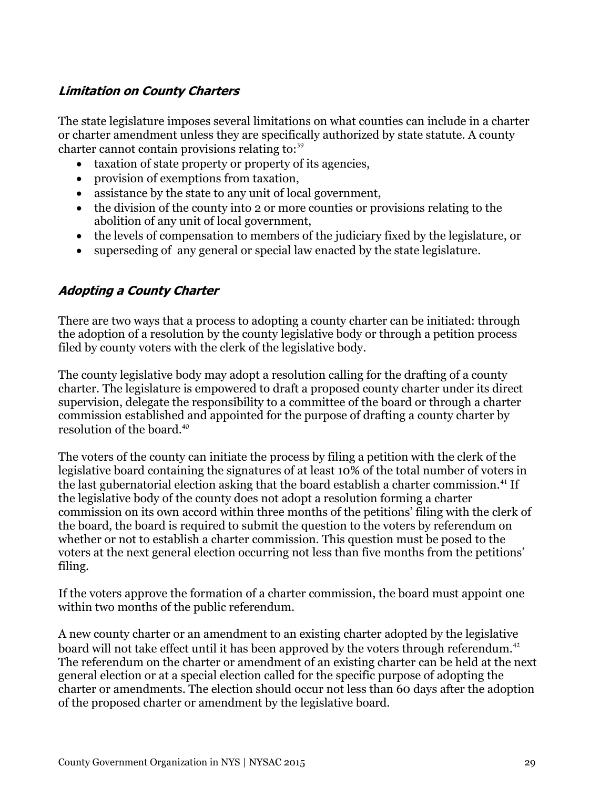## <span id="page-28-0"></span>**Limitation on County Charters**

The state legislature imposes several limitations on what counties can include in a charter or charter amendment unless they are specifically authorized by state statute. A county charter cannot contain provisions relating to:  $39$ 

- taxation of state property or property of its agencies,
- provision of exemptions from taxation,
- assistance by the state to any unit of local government,
- the division of the county into 2 or more counties or provisions relating to the abolition of any unit of local government,
- the levels of compensation to members of the judiciary fixed by the legislature, or
- superseding of any general or special law enacted by the state legislature.

## <span id="page-28-1"></span>**Adopting a County Charter**

There are two ways that a process to adopting a county charter can be initiated: through the adoption of a resolution by the county legislative body or through a petition process filed by county voters with the clerk of the legislative body.

The county legislative body may adopt a resolution calling for the drafting of a county charter. The legislature is empowered to draft a proposed county charter under its direct supervision, delegate the responsibility to a committee of the board or through a charter commission established and appointed for the purpose of drafting a county charter by resolution of the board.**<sup>40</sup>**

The voters of the county can initiate the process by filing a petition with the clerk of the legislative board containing the signatures of at least 10% of the total number of voters in the last gubernatorial election asking that the board establish a charter commission.**<sup>41</sup>** If the legislative body of the county does not adopt a resolution forming a charter commission on its own accord within three months of the petitions' filing with the clerk of the board, the board is required to submit the question to the voters by referendum on whether or not to establish a charter commission. This question must be posed to the voters at the next general election occurring not less than five months from the petitions' filing.

If the voters approve the formation of a charter commission, the board must appoint one within two months of the public referendum.

A new county charter or an amendment to an existing charter adopted by the legislative board will not take effect until it has been approved by the voters through referendum.**<sup>42</sup>** The referendum on the charter or amendment of an existing charter can be held at the next general election or at a special election called for the specific purpose of adopting the charter or amendments. The election should occur not less than 60 days after the adoption of the proposed charter or amendment by the legislative board.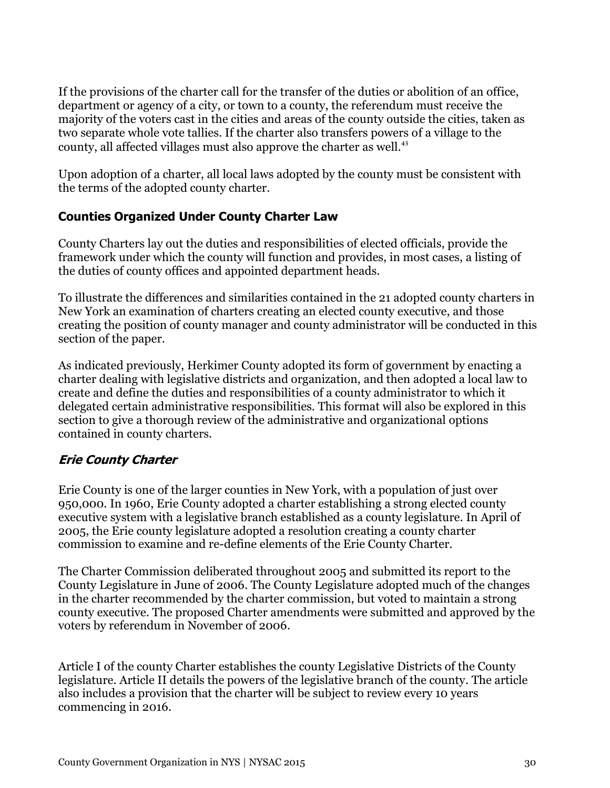If the provisions of the charter call for the transfer of the duties or abolition of an office, department or agency of a city, or town to a county, the referendum must receive the majority of the voters cast in the cities and areas of the county outside the cities, taken as two separate whole vote tallies. If the charter also transfers powers of a village to the county, all affected villages must also approve the charter as well.**<sup>43</sup>**

Upon adoption of a charter, all local laws adopted by the county must be consistent with the terms of the adopted county charter.

#### <span id="page-29-0"></span>**Counties Organized Under County Charter Law**

County Charters lay out the duties and responsibilities of elected officials, provide the framework under which the county will function and provides, in most cases, a listing of the duties of county offices and appointed department heads.

To illustrate the differences and similarities contained in the 21 adopted county charters in New York an examination of charters creating an elected county executive, and those creating the position of county manager and county administrator will be conducted in this section of the paper.

As indicated previously, Herkimer County adopted its form of government by enacting a charter dealing with legislative districts and organization, and then adopted a local law to create and define the duties and responsibilities of a county administrator to which it delegated certain administrative responsibilities. This format will also be explored in this section to give a thorough review of the administrative and organizational options contained in county charters.

## <span id="page-29-1"></span>**Erie County Charter**

Erie County is one of the larger counties in New York, with a population of just over 950,000. In 1960, Erie County adopted a charter establishing a strong elected county executive system with a legislative branch established as a county legislature. In April of 2005, the Erie county legislature adopted a resolution creating a county charter commission to examine and re-define elements of the Erie County Charter.

The Charter Commission deliberated throughout 2005 and submitted its report to the County Legislature in June of 2006. The County Legislature adopted much of the changes in the charter recommended by the charter commission, but voted to maintain a strong county executive. The proposed Charter amendments were submitted and approved by the voters by referendum in November of 2006*.*

Article I of the county Charter establishes the county Legislative Districts of the County legislature. Article II details the powers of the legislative branch of the county. The article also includes a provision that the charter will be subject to review every 10 years commencing in 2016.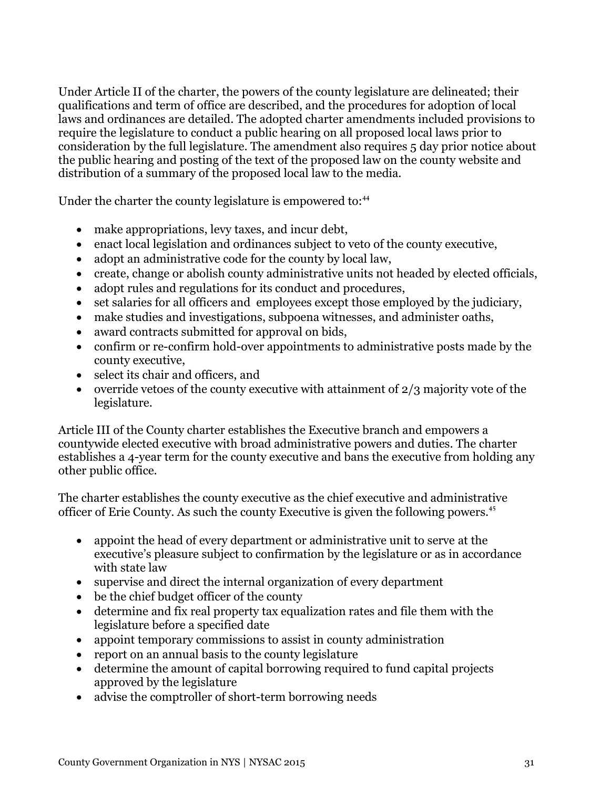Under Article II of the charter, the powers of the county legislature are delineated; their qualifications and term of office are described, and the procedures for adoption of local laws and ordinances are detailed. The adopted charter amendments included provisions to require the legislature to conduct a public hearing on all proposed local laws prior to consideration by the full legislature. The amendment also requires 5 day prior notice about the public hearing and posting of the text of the proposed law on the county website and distribution of a summary of the proposed local law to the media.

Under the charter the county legislature is empowered to:**<sup>44</sup>**

- make appropriations, levy taxes, and incur debt,
- enact local legislation and ordinances subject to veto of the county executive,
- adopt an administrative code for the county by local law,
- create, change or abolish county administrative units not headed by elected officials,
- adopt rules and regulations for its conduct and procedures,
- set salaries for all officers and employees except those employed by the judiciary,
- make studies and investigations, subpoena witnesses, and administer oaths,
- award contracts submitted for approval on bids,
- confirm or re-confirm hold-over appointments to administrative posts made by the county executive,
- select its chair and officers, and
- override vetoes of the county executive with attainment of  $2/3$  majority vote of the legislature.

Article III of the County charter establishes the Executive branch and empowers a countywide elected executive with broad administrative powers and duties. The charter establishes a 4-year term for the county executive and bans the executive from holding any other public office.

The charter establishes the county executive as the chief executive and administrative officer of Erie County. As such the county Executive is given the following powers.**<sup>45</sup>**

- appoint the head of every department or administrative unit to serve at the executive's pleasure subject to confirmation by the legislature or as in accordance with state law
- supervise and direct the internal organization of every department
- be the chief budget officer of the county
- determine and fix real property tax equalization rates and file them with the legislature before a specified date
- appoint temporary commissions to assist in county administration
- report on an annual basis to the county legislature
- determine the amount of capital borrowing required to fund capital projects approved by the legislature
- advise the comptroller of short-term borrowing needs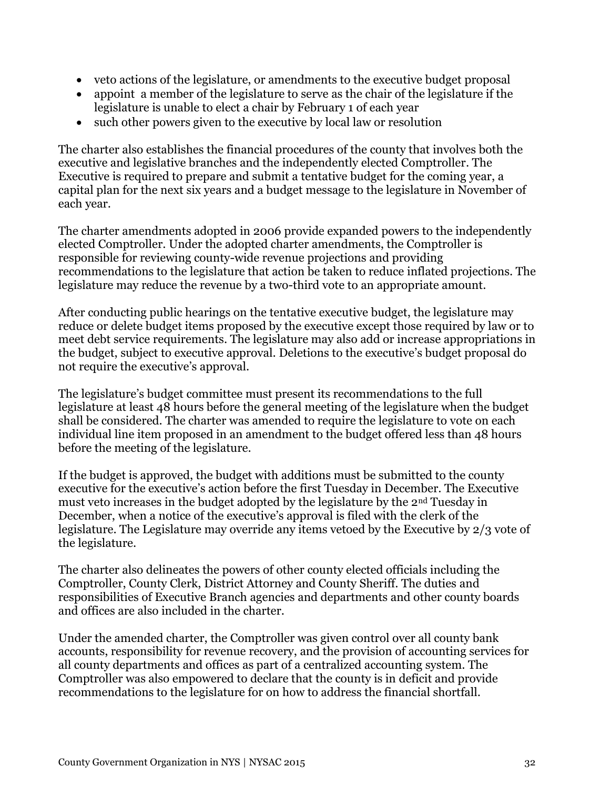- veto actions of the legislature, or amendments to the executive budget proposal
- appoint a member of the legislature to serve as the chair of the legislature if the legislature is unable to elect a chair by February 1 of each year
- such other powers given to the executive by local law or resolution

The charter also establishes the financial procedures of the county that involves both the executive and legislative branches and the independently elected Comptroller. The Executive is required to prepare and submit a tentative budget for the coming year, a capital plan for the next six years and a budget message to the legislature in November of each year.

The charter amendments adopted in 2006 provide expanded powers to the independently elected Comptroller. Under the adopted charter amendments, the Comptroller is responsible for reviewing county-wide revenue projections and providing recommendations to the legislature that action be taken to reduce inflated projections. The legislature may reduce the revenue by a two-third vote to an appropriate amount.

After conducting public hearings on the tentative executive budget, the legislature may reduce or delete budget items proposed by the executive except those required by law or to meet debt service requirements. The legislature may also add or increase appropriations in the budget, subject to executive approval. Deletions to the executive's budget proposal do not require the executive's approval.

The legislature's budget committee must present its recommendations to the full legislature at least 48 hours before the general meeting of the legislature when the budget shall be considered. The charter was amended to require the legislature to vote on each individual line item proposed in an amendment to the budget offered less than 48 hours before the meeting of the legislature.

If the budget is approved, the budget with additions must be submitted to the county executive for the executive's action before the first Tuesday in December. The Executive must veto increases in the budget adopted by the legislature by the 2nd Tuesday in December, when a notice of the executive's approval is filed with the clerk of the legislature. The Legislature may override any items vetoed by the Executive by 2/3 vote of the legislature.

The charter also delineates the powers of other county elected officials including the Comptroller, County Clerk, District Attorney and County Sheriff. The duties and responsibilities of Executive Branch agencies and departments and other county boards and offices are also included in the charter.

Under the amended charter, the Comptroller was given control over all county bank accounts, responsibility for revenue recovery, and the provision of accounting services for all county departments and offices as part of a centralized accounting system. The Comptroller was also empowered to declare that the county is in deficit and provide recommendations to the legislature for on how to address the financial shortfall.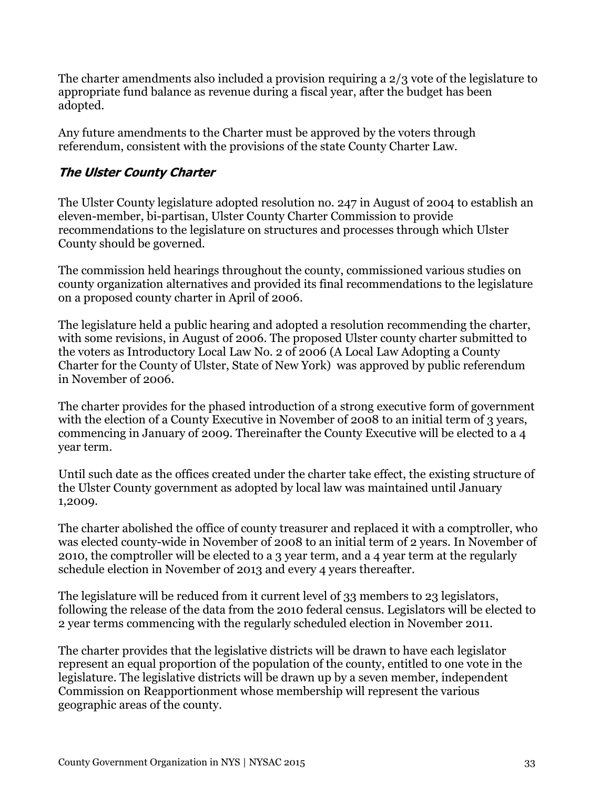The charter amendments also included a provision requiring a 2/3 vote of the legislature to appropriate fund balance as revenue during a fiscal year, after the budget has been adopted.

Any future amendments to the Charter must be approved by the voters through referendum, consistent with the provisions of the state County Charter Law.

## <span id="page-32-0"></span>**The Ulster County Charter**

The Ulster County legislature adopted resolution no. 247 in August of 2004 to establish an eleven-member, bi-partisan, Ulster County Charter Commission to provide recommendations to the legislature on structures and processes through which Ulster County should be governed.

The commission held hearings throughout the county, commissioned various studies on county organization alternatives and provided its final recommendations to the legislature on a proposed county charter in April of 2006.

The legislature held a public hearing and adopted a resolution recommending the charter, with some revisions, in August of 2006. The proposed Ulster county charter submitted to the voters as Introductory Local Law No. 2 of 2006 (A Local Law Adopting a County Charter for the County of Ulster, State of New York) was approved by public referendum in November of 2006.

The charter provides for the phased introduction of a strong executive form of government with the election of a County Executive in November of 2008 to an initial term of 3 years, commencing in January of 2009. Thereinafter the County Executive will be elected to a 4 year term.

Until such date as the offices created under the charter take effect, the existing structure of the Ulster County government as adopted by local law was maintained until January 1,2009.

The charter abolished the office of county treasurer and replaced it with a comptroller, who was elected county-wide in November of 2008 to an initial term of 2 years. In November of 2010, the comptroller will be elected to a 3 year term, and a 4 year term at the regularly schedule election in November of 2013 and every 4 years thereafter.

The legislature will be reduced from it current level of 33 members to 23 legislators, following the release of the data from the 2010 federal census. Legislators will be elected to 2 year terms commencing with the regularly scheduled election in November 2011.

The charter provides that the legislative districts will be drawn to have each legislator represent an equal proportion of the population of the county, entitled to one vote in the legislature. The legislative districts will be drawn up by a seven member, independent Commission on Reapportionment whose membership will represent the various geographic areas of the county.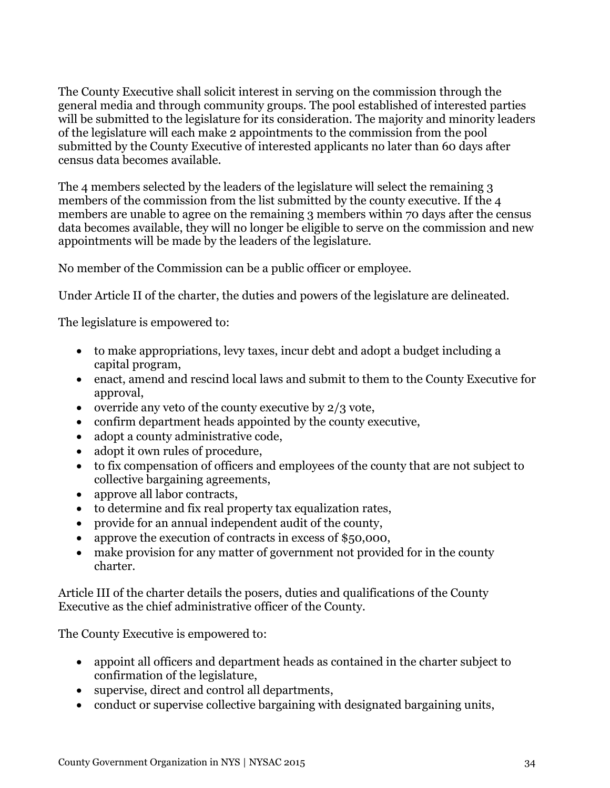The County Executive shall solicit interest in serving on the commission through the general media and through community groups. The pool established of interested parties will be submitted to the legislature for its consideration. The majority and minority leaders of the legislature will each make 2 appointments to the commission from the pool submitted by the County Executive of interested applicants no later than 60 days after census data becomes available.

The 4 members selected by the leaders of the legislature will select the remaining 3 members of the commission from the list submitted by the county executive. If the 4 members are unable to agree on the remaining 3 members within 70 days after the census data becomes available, they will no longer be eligible to serve on the commission and new appointments will be made by the leaders of the legislature.

No member of the Commission can be a public officer or employee.

Under Article II of the charter, the duties and powers of the legislature are delineated.

The legislature is empowered to:

- to make appropriations, levy taxes, incur debt and adopt a budget including a capital program,
- enact, amend and rescind local laws and submit to them to the County Executive for approval,
- override any veto of the county executive by  $2/3$  vote,
- confirm department heads appointed by the county executive,
- adopt a county administrative code,
- adopt it own rules of procedure,
- to fix compensation of officers and employees of the county that are not subject to collective bargaining agreements,
- approve all labor contracts.
- to determine and fix real property tax equalization rates,
- provide for an annual independent audit of the county,
- approve the execution of contracts in excess of \$50,000.
- make provision for any matter of government not provided for in the county charter.

Article III of the charter details the posers, duties and qualifications of the County Executive as the chief administrative officer of the County.

The County Executive is empowered to:

- appoint all officers and department heads as contained in the charter subject to confirmation of the legislature,
- supervise, direct and control all departments,
- conduct or supervise collective bargaining with designated bargaining units,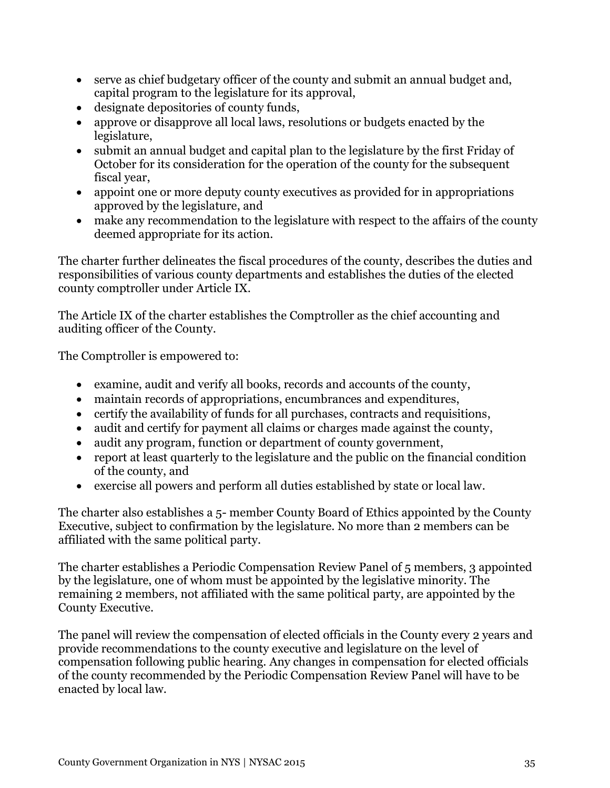- serve as chief budgetary officer of the county and submit an annual budget and, capital program to the legislature for its approval,
- designate depositories of county funds,
- approve or disapprove all local laws, resolutions or budgets enacted by the legislature,
- submit an annual budget and capital plan to the legislature by the first Friday of October for its consideration for the operation of the county for the subsequent fiscal year,
- appoint one or more deputy county executives as provided for in appropriations approved by the legislature, and
- make any recommendation to the legislature with respect to the affairs of the county deemed appropriate for its action.

The charter further delineates the fiscal procedures of the county, describes the duties and responsibilities of various county departments and establishes the duties of the elected county comptroller under Article IX.

The Article IX of the charter establishes the Comptroller as the chief accounting and auditing officer of the County.

The Comptroller is empowered to:

- examine, audit and verify all books, records and accounts of the county,
- maintain records of appropriations, encumbrances and expenditures,
- certify the availability of funds for all purchases, contracts and requisitions,
- audit and certify for payment all claims or charges made against the county,
- audit any program, function or department of county government,
- report at least quarterly to the legislature and the public on the financial condition of the county, and
- exercise all powers and perform all duties established by state or local law.

The charter also establishes a 5- member County Board of Ethics appointed by the County Executive, subject to confirmation by the legislature. No more than 2 members can be affiliated with the same political party.

The charter establishes a Periodic Compensation Review Panel of 5 members, 3 appointed by the legislature, one of whom must be appointed by the legislative minority. The remaining 2 members, not affiliated with the same political party, are appointed by the County Executive.

The panel will review the compensation of elected officials in the County every 2 years and provide recommendations to the county executive and legislature on the level of compensation following public hearing. Any changes in compensation for elected officials of the county recommended by the Periodic Compensation Review Panel will have to be enacted by local law.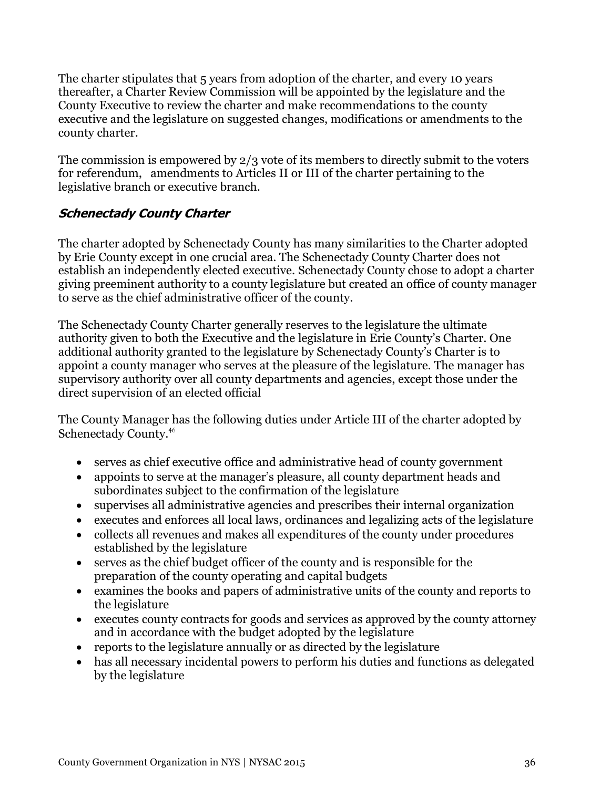The charter stipulates that 5 years from adoption of the charter, and every 10 years thereafter, a Charter Review Commission will be appointed by the legislature and the County Executive to review the charter and make recommendations to the county executive and the legislature on suggested changes, modifications or amendments to the county charter.

The commission is empowered by 2/3 vote of its members to directly submit to the voters for referendum, amendments to Articles II or III of the charter pertaining to the legislative branch or executive branch.

## <span id="page-35-0"></span>**Schenectady County Charter**

The charter adopted by Schenectady County has many similarities to the Charter adopted by Erie County except in one crucial area. The Schenectady County Charter does not establish an independently elected executive. Schenectady County chose to adopt a charter giving preeminent authority to a county legislature but created an office of county manager to serve as the chief administrative officer of the county.

The Schenectady County Charter generally reserves to the legislature the ultimate authority given to both the Executive and the legislature in Erie County's Charter. One additional authority granted to the legislature by Schenectady County's Charter is to appoint a county manager who serves at the pleasure of the legislature. The manager has supervisory authority over all county departments and agencies, except those under the direct supervision of an elected official

The County Manager has the following duties under Article III of the charter adopted by Schenectady County.<sup>46</sup>

- serves as chief executive office and administrative head of county government
- appoints to serve at the manager's pleasure, all county department heads and subordinates subject to the confirmation of the legislature
- supervises all administrative agencies and prescribes their internal organization
- executes and enforces all local laws, ordinances and legalizing acts of the legislature
- collects all revenues and makes all expenditures of the county under procedures established by the legislature
- serves as the chief budget officer of the county and is responsible for the preparation of the county operating and capital budgets
- examines the books and papers of administrative units of the county and reports to the legislature
- executes county contracts for goods and services as approved by the county attorney and in accordance with the budget adopted by the legislature
- reports to the legislature annually or as directed by the legislature
- has all necessary incidental powers to perform his duties and functions as delegated by the legislature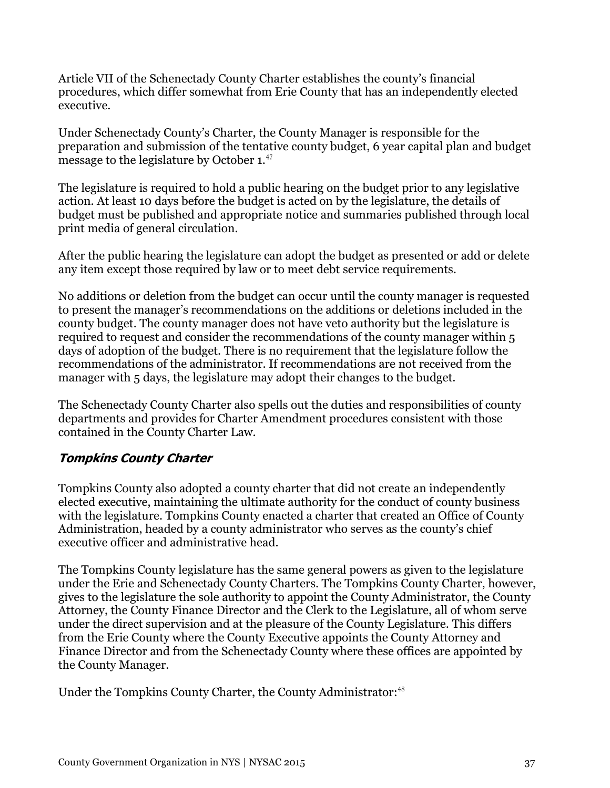Article VII of the Schenectady County Charter establishes the county's financial procedures, which differ somewhat from Erie County that has an independently elected executive.

Under Schenectady County's Charter, the County Manager is responsible for the preparation and submission of the tentative county budget, 6 year capital plan and budget message to the legislature by October 1.<sup>47</sup>

The legislature is required to hold a public hearing on the budget prior to any legislative action. At least 10 days before the budget is acted on by the legislature, the details of budget must be published and appropriate notice and summaries published through local print media of general circulation.

After the public hearing the legislature can adopt the budget as presented or add or delete any item except those required by law or to meet debt service requirements.

No additions or deletion from the budget can occur until the county manager is requested to present the manager's recommendations on the additions or deletions included in the county budget. The county manager does not have veto authority but the legislature is required to request and consider the recommendations of the county manager within 5 days of adoption of the budget. There is no requirement that the legislature follow the recommendations of the administrator. If recommendations are not received from the manager with 5 days, the legislature may adopt their changes to the budget.

The Schenectady County Charter also spells out the duties and responsibilities of county departments and provides for Charter Amendment procedures consistent with those contained in the County Charter Law.

## <span id="page-36-0"></span>**Tompkins County Charter**

Tompkins County also adopted a county charter that did not create an independently elected executive, maintaining the ultimate authority for the conduct of county business with the legislature. Tompkins County enacted a charter that created an Office of County Administration, headed by a county administrator who serves as the county's chief executive officer and administrative head.

The Tompkins County legislature has the same general powers as given to the legislature under the Erie and Schenectady County Charters. The Tompkins County Charter, however, gives to the legislature the sole authority to appoint the County Administrator, the County Attorney, the County Finance Director and the Clerk to the Legislature, all of whom serve under the direct supervision and at the pleasure of the County Legislature. This differs from the Erie County where the County Executive appoints the County Attorney and Finance Director and from the Schenectady County where these offices are appointed by the County Manager.

Under the Tompkins County Charter, the County Administrator:<sup>48</sup>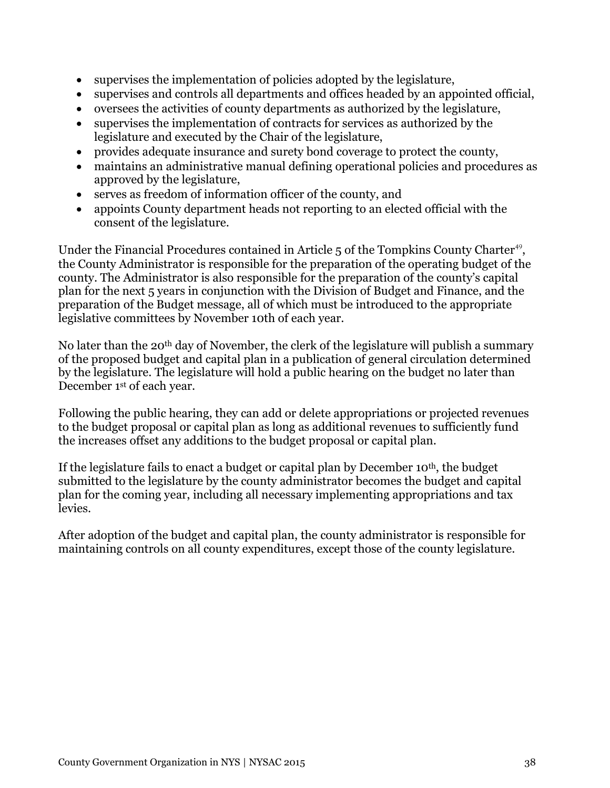- supervises the implementation of policies adopted by the legislature,
- supervises and controls all departments and offices headed by an appointed official,
- oversees the activities of county departments as authorized by the legislature,
- supervises the implementation of contracts for services as authorized by the legislature and executed by the Chair of the legislature,
- provides adequate insurance and surety bond coverage to protect the county,
- maintains an administrative manual defining operational policies and procedures as approved by the legislature,
- serves as freedom of information officer of the county, and
- appoints County department heads not reporting to an elected official with the consent of the legislature.

Under the Financial Procedures contained in Article  $5$  of the Tompkins County Charter<sup>49</sup>, the County Administrator is responsible for the preparation of the operating budget of the county. The Administrator is also responsible for the preparation of the county's capital plan for the next 5 years in conjunction with the Division of Budget and Finance, and the preparation of the Budget message, all of which must be introduced to the appropriate legislative committees by November 10th of each year.

No later than the 20th day of November, the clerk of the legislature will publish a summary of the proposed budget and capital plan in a publication of general circulation determined by the legislature. The legislature will hold a public hearing on the budget no later than December 1st of each year.

Following the public hearing, they can add or delete appropriations or projected revenues to the budget proposal or capital plan as long as additional revenues to sufficiently fund the increases offset any additions to the budget proposal or capital plan.

If the legislature fails to enact a budget or capital plan by December 10<sup>th</sup>, the budget submitted to the legislature by the county administrator becomes the budget and capital plan for the coming year, including all necessary implementing appropriations and tax levies.

<span id="page-37-0"></span>After adoption of the budget and capital plan, the county administrator is responsible for maintaining controls on all county expenditures, except those of the county legislature.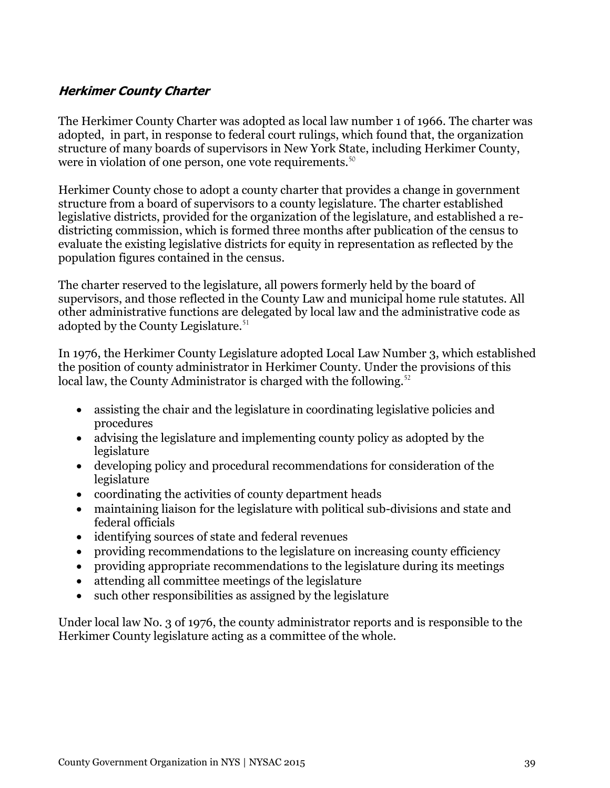#### **Herkimer County Charter**

The Herkimer County Charter was adopted as local law number 1 of 1966. The charter was adopted, in part, in response to federal court rulings, which found that, the organization structure of many boards of supervisors in New York State, including Herkimer County, were in violation of one person, one vote requirements. $50$ 

Herkimer County chose to adopt a county charter that provides a change in government structure from a board of supervisors to a county legislature. The charter established legislative districts, provided for the organization of the legislature, and established a redistricting commission, which is formed three months after publication of the census to evaluate the existing legislative districts for equity in representation as reflected by the population figures contained in the census.

The charter reserved to the legislature, all powers formerly held by the board of supervisors, and those reflected in the County Law and municipal home rule statutes. All other administrative functions are delegated by local law and the administrative code as adopted by the County Legislature.<sup>51</sup>

In 1976, the Herkimer County Legislature adopted Local Law Number 3, which established the position of county administrator in Herkimer County. Under the provisions of this local law, the County Administrator is charged with the following.<sup>52</sup>

- assisting the chair and the legislature in coordinating legislative policies and procedures
- advising the legislature and implementing county policy as adopted by the legislature
- developing policy and procedural recommendations for consideration of the legislature
- coordinating the activities of county department heads
- maintaining liaison for the legislature with political sub-divisions and state and federal officials
- identifying sources of state and federal revenues
- providing recommendations to the legislature on increasing county efficiency
- providing appropriate recommendations to the legislature during its meetings
- attending all committee meetings of the legislature
- such other responsibilities as assigned by the legislature

Under local law No. 3 of 1976, the county administrator reports and is responsible to the Herkimer County legislature acting as a committee of the whole.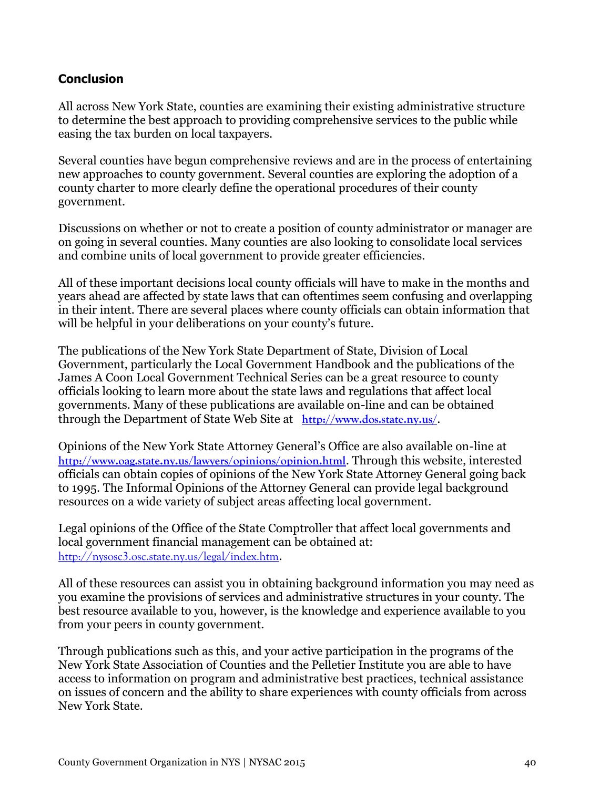#### <span id="page-39-0"></span>**Conclusion**

All across New York State, counties are examining their existing administrative structure to determine the best approach to providing comprehensive services to the public while easing the tax burden on local taxpayers.

Several counties have begun comprehensive reviews and are in the process of entertaining new approaches to county government. Several counties are exploring the adoption of a county charter to more clearly define the operational procedures of their county government.

Discussions on whether or not to create a position of county administrator or manager are on going in several counties. Many counties are also looking to consolidate local services and combine units of local government to provide greater efficiencies.

All of these important decisions local county officials will have to make in the months and years ahead are affected by state laws that can oftentimes seem confusing and overlapping in their intent. There are several places where county officials can obtain information that will be helpful in your deliberations on your county's future.

The publications of the New York State Department of State, Division of Local Government, particularly the Local Government Handbook and the publications of the James A Coon Local Government Technical Series can be a great resource to county officials looking to learn more about the state laws and regulations that affect local governments. Many of these publications are available on-line and can be obtained through the Department of State Web Site at **<http://www.dos.state.ny.us/>**.

Opinions of the New York State Attorney General's Office are also available on-line at **<http://www.oag.state.ny.us/lawyers/opinions/opinion.html>**. Through this website, interested officials can obtain copies of opinions of the New York State Attorney General going back to 1995. The Informal Opinions of the Attorney General can provide legal background resources on a wide variety of subject areas affecting local government.

Legal opinions of the Office of the State Comptroller that affect local governments and local government financial management can be obtained at: <http://nysosc3.osc.state.ny.us/legal/index.htm>.

All of these resources can assist you in obtaining background information you may need as you examine the provisions of services and administrative structures in your county. The best resource available to you, however, is the knowledge and experience available to you from your peers in county government.

Through publications such as this, and your active participation in the programs of the New York State Association of Counties and the Pelletier Institute you are able to have access to information on program and administrative best practices, technical assistance on issues of concern and the ability to share experiences with county officials from across New York State.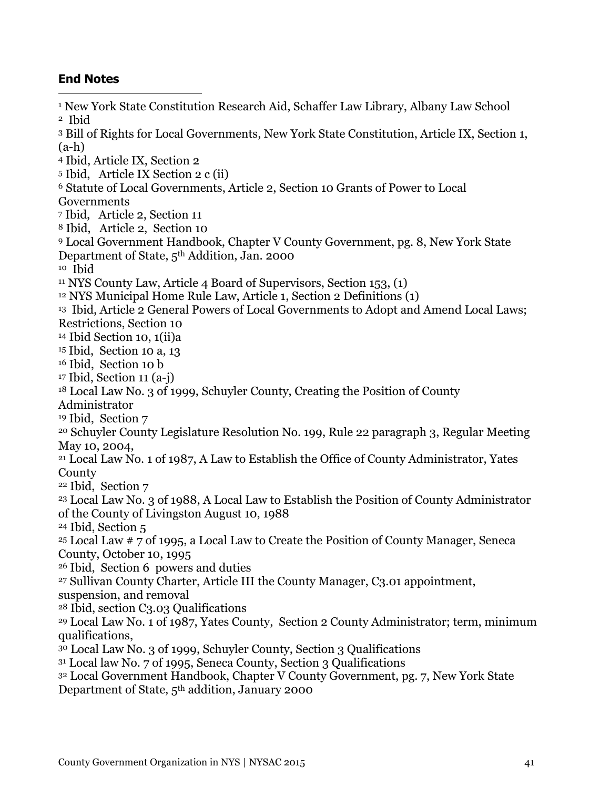#### <span id="page-40-0"></span>**End Notes**

 $\overline{a}$  New York State Constitution Research Aid, Schaffer Law Library, Albany Law School Ibid Bill of Rights for Local Governments, New York State Constitution, Article IX, Section 1, (a-h) Ibid, Article IX, Section 2 Ibid, Article IX Section 2 c (ii) Statute of Local Governments, Article 2, Section 10 Grants of Power to Local Governments Ibid, Article 2, Section 11 Ibid, Article 2, Section 10 Local Government Handbook, Chapter V County Government, pg. 8, New York State Department of State, 5th Addition, Jan. 2000 Ibid NYS County Law, Article 4 Board of Supervisors, Section 153, (1) NYS Municipal Home Rule Law, Article 1, Section 2 Definitions (1) Ibid, Article 2 General Powers of Local Governments to Adopt and Amend Local Laws; Restrictions, Section 10 Ibid Section 10, 1(ii)a Ibid, Section 10 a, 13 Ibid, Section 10 b Ibid, Section 11 (a-j) Local Law No. 3 of 1999, Schuyler County, Creating the Position of County Administrator Ibid, Section 7 Schuyler County Legislature Resolution No. 199, Rule 22 paragraph 3, Regular Meeting May 10, 2004, Local Law No. 1 of 1987, A Law to Establish the Office of County Administrator, Yates **County**  Ibid, Section 7 Local Law No. 3 of 1988, A Local Law to Establish the Position of County Administrator of the County of Livingston August 10, 1988 Ibid, Section 5 Local Law # 7 of 1995, a Local Law to Create the Position of County Manager, Seneca County, October 10, 1995 Ibid, Section 6 powers and duties Sullivan County Charter, Article III the County Manager, C3.01 appointment, suspension, and removal Ibid, section C3.03 Qualifications Local Law No. 1 of 1987, Yates County, Section 2 County Administrator; term, minimum qualifications, Local Law No. 3 of 1999, Schuyler County, Section 3 Qualifications Local law No. 7 of 1995, Seneca County, Section 3 Qualifications Local Government Handbook, Chapter V County Government, pg. 7, New York State Department of State, 5th addition, January 2000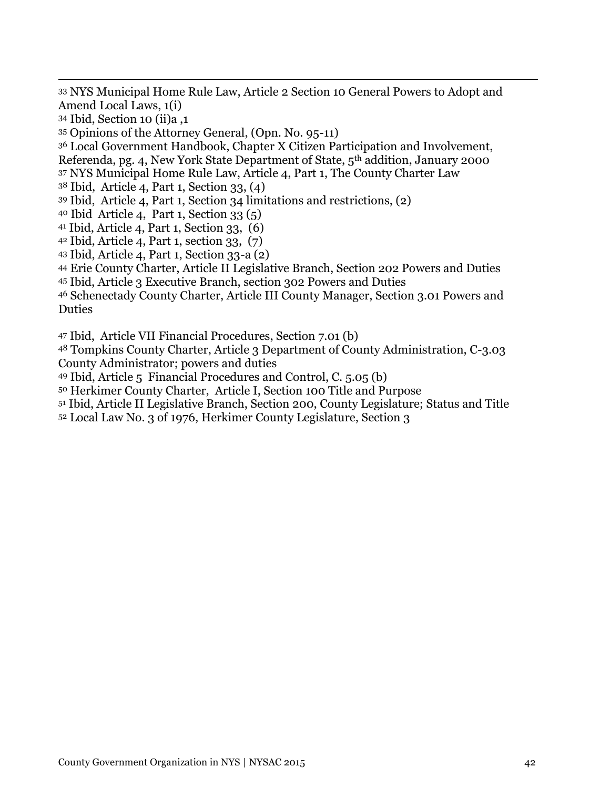$\overline{a}$  NYS Municipal Home Rule Law, Article 2 Section 10 General Powers to Adopt and Amend Local Laws, 1(i)

- Ibid, Section 10 (ii)a ,1
- Opinions of the Attorney General, (Opn. No. 95-11)

 Local Government Handbook, Chapter X Citizen Participation and Involvement, Referenda, pg. 4, New York State Department of State, 5th addition, January 2000

NYS Municipal Home Rule Law, Article 4, Part 1, The County Charter Law

- Ibid, Article 4, Part 1, Section 33, (4)
- Ibid, Article 4, Part 1, Section 34 limitations and restrictions, (2)

Ibid Article 4, Part 1, Section 33 (5)

Ibid, Article 4, Part 1, Section 33, (6)

- Ibid, Article 4, Part 1, section 33, (7)
- Ibid, Article 4, Part 1, Section 33-a (2)

 Erie County Charter, Article II Legislative Branch, Section 202 Powers and Duties Ibid, Article 3 Executive Branch, section 302 Powers and Duties

 Schenectady County Charter, Article III County Manager, Section 3.01 Powers and Duties

Ibid, Article VII Financial Procedures, Section 7.01 (b)

 Tompkins County Charter, Article 3 Department of County Administration, C-3.03 County Administrator; powers and duties

Ibid, Article 5 Financial Procedures and Control, C. 5.05 (b)

Herkimer County Charter, Article I, Section 100 Title and Purpose

Ibid, Article II Legislative Branch, Section 200, County Legislature; Status and Title

Local Law No. 3 of 1976, Herkimer County Legislature, Section 3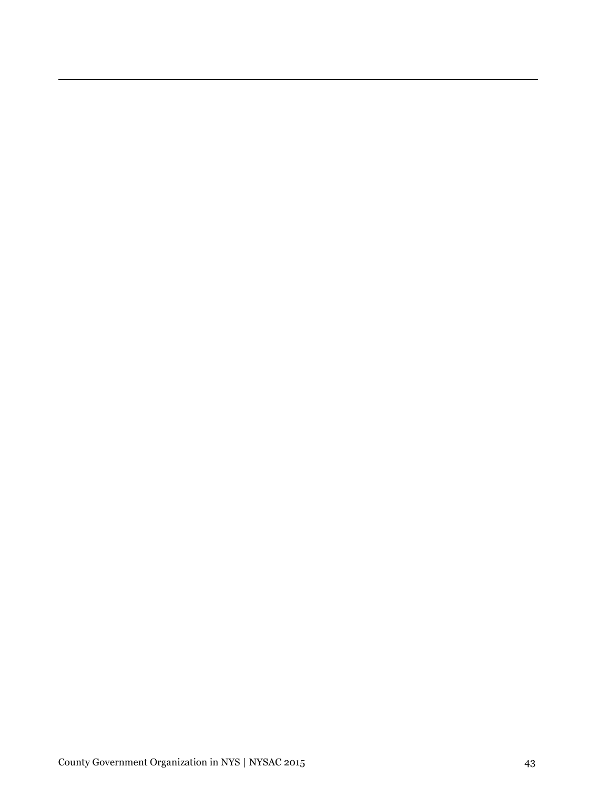$\overline{a}$